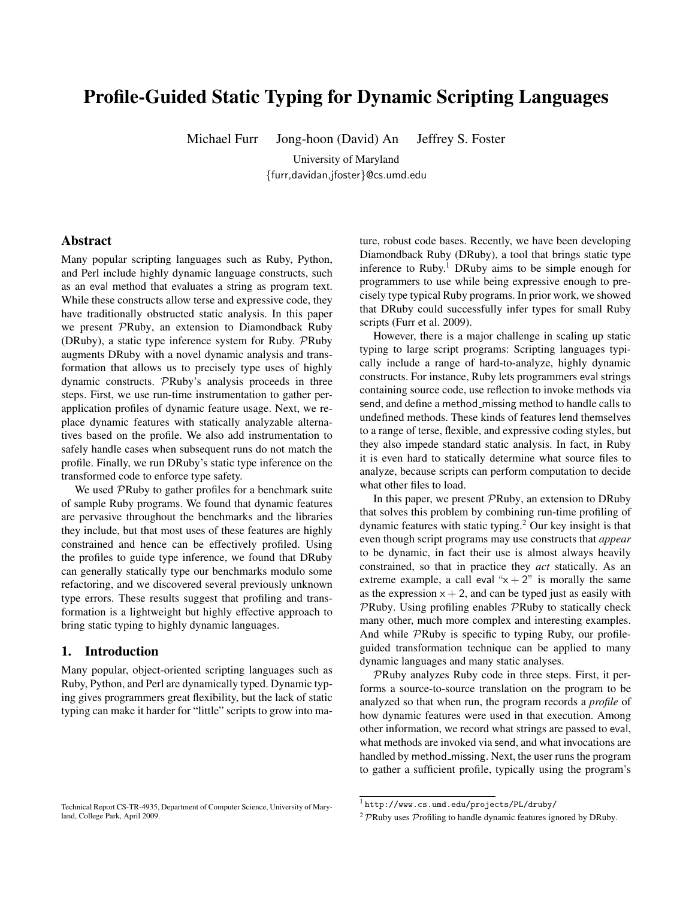# Profile-Guided Static Typing for Dynamic Scripting Languages

Michael Furr Jong-hoon (David) An Jeffrey S. Foster

University of Maryland {furr,davidan,jfoster}@cs.umd.edu

## Abstract

Many popular scripting languages such as Ruby, Python, and Perl include highly dynamic language constructs, such as an eval method that evaluates a string as program text. While these constructs allow terse and expressive code, they have traditionally obstructed static analysis. In this paper we present PRuby, an extension to Diamondback Ruby (DRuby), a static type inference system for Ruby. PRuby augments DRuby with a novel dynamic analysis and transformation that allows us to precisely type uses of highly dynamic constructs. PRuby's analysis proceeds in three steps. First, we use run-time instrumentation to gather perapplication profiles of dynamic feature usage. Next, we replace dynamic features with statically analyzable alternatives based on the profile. We also add instrumentation to safely handle cases when subsequent runs do not match the profile. Finally, we run DRuby's static type inference on the transformed code to enforce type safety.

We used PRuby to gather profiles for a benchmark suite of sample Ruby programs. We found that dynamic features are pervasive throughout the benchmarks and the libraries they include, but that most uses of these features are highly constrained and hence can be effectively profiled. Using the profiles to guide type inference, we found that DRuby can generally statically type our benchmarks modulo some refactoring, and we discovered several previously unknown type errors. These results suggest that profiling and transformation is a lightweight but highly effective approach to bring static typing to highly dynamic languages.

# 1. Introduction

Many popular, object-oriented scripting languages such as Ruby, Python, and Perl are dynamically typed. Dynamic typing gives programmers great flexibility, but the lack of static typing can make it harder for "little" scripts to grow into ma-

ture, robust code bases. Recently, we have been developing Diamondback Ruby (DRuby), a tool that brings static type inference to Ruby.<sup>1</sup> DRuby aims to be simple enough for programmers to use while being expressive enough to precisely type typical Ruby programs. In prior work, we showed that DRuby could successfully infer types for small Ruby scripts (Furr et al. 2009).

However, there is a major challenge in scaling up static typing to large script programs: Scripting languages typically include a range of hard-to-analyze, highly dynamic constructs. For instance, Ruby lets programmers eval strings containing source code, use reflection to invoke methods via send, and define a method\_missing method to handle calls to undefined methods. These kinds of features lend themselves to a range of terse, flexible, and expressive coding styles, but they also impede standard static analysis. In fact, in Ruby it is even hard to statically determine what source files to analyze, because scripts can perform computation to decide what other files to load.

In this paper, we present PRuby, an extension to DRuby that solves this problem by combining run-time profiling of dynamic features with static typing.<sup>2</sup> Our key insight is that even though script programs may use constructs that *appear* to be dynamic, in fact their use is almost always heavily constrained, so that in practice they *act* statically. As an extreme example, a call eval " $x + 2$ " is morally the same as the expression  $x + 2$ , and can be typed just as easily with PRuby. Using profiling enables PRuby to statically check many other, much more complex and interesting examples. And while PRuby is specific to typing Ruby, our profileguided transformation technique can be applied to many dynamic languages and many static analyses.

PRuby analyzes Ruby code in three steps. First, it performs a source-to-source translation on the program to be analyzed so that when run, the program records a *profile* of how dynamic features were used in that execution. Among other information, we record what strings are passed to eval, what methods are invoked via send, and what invocations are handled by method\_missing. Next, the user runs the program to gather a sufficient profile, typically using the program's

Technical Report CS-TR-4935, Department of Computer Science, University of Maryland, College Park, April 2009.

<sup>1</sup> http://www.cs.umd.edu/projects/PL/druby/

 $2$  PRuby uses Profiling to handle dynamic features ignored by DRuby.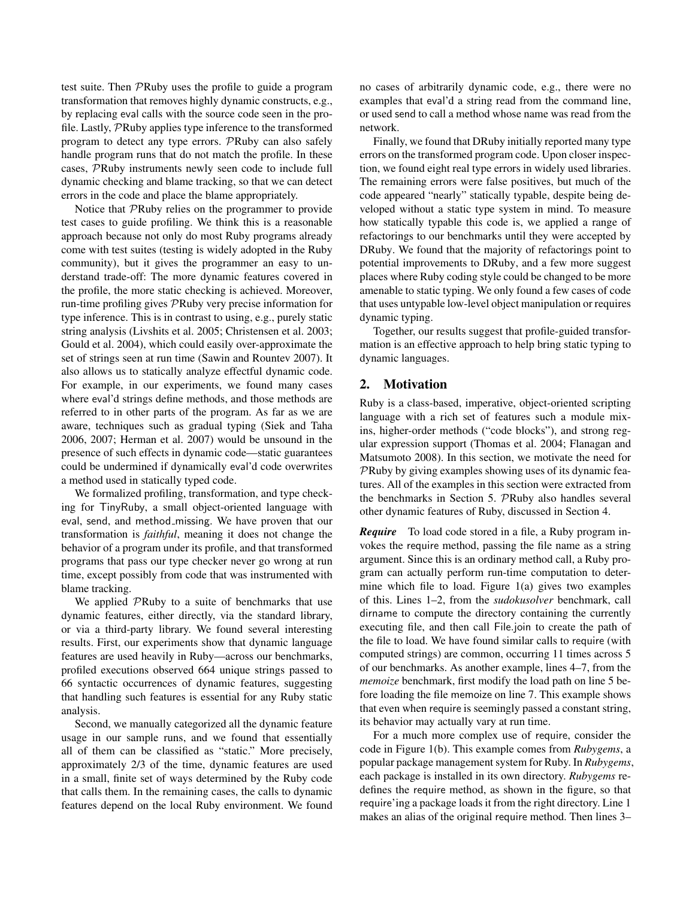test suite. Then PRuby uses the profile to guide a program transformation that removes highly dynamic constructs, e.g., by replacing eval calls with the source code seen in the profile. Lastly, PRuby applies type inference to the transformed program to detect any type errors. PRuby can also safely handle program runs that do not match the profile. In these cases, PRuby instruments newly seen code to include full dynamic checking and blame tracking, so that we can detect errors in the code and place the blame appropriately.

Notice that PRuby relies on the programmer to provide test cases to guide profiling. We think this is a reasonable approach because not only do most Ruby programs already come with test suites (testing is widely adopted in the Ruby community), but it gives the programmer an easy to understand trade-off: The more dynamic features covered in the profile, the more static checking is achieved. Moreover, run-time profiling gives PRuby very precise information for type inference. This is in contrast to using, e.g., purely static string analysis (Livshits et al. 2005; Christensen et al. 2003; Gould et al. 2004), which could easily over-approximate the set of strings seen at run time (Sawin and Rountev 2007). It also allows us to statically analyze effectful dynamic code. For example, in our experiments, we found many cases where eval'd strings define methods, and those methods are referred to in other parts of the program. As far as we are aware, techniques such as gradual typing (Siek and Taha 2006, 2007; Herman et al. 2007) would be unsound in the presence of such effects in dynamic code—static guarantees could be undermined if dynamically eval'd code overwrites a method used in statically typed code.

We formalized profiling, transformation, and type checking for TinyRuby, a small object-oriented language with eval, send, and method\_missing. We have proven that our transformation is *faithful*, meaning it does not change the behavior of a program under its profile, and that transformed programs that pass our type checker never go wrong at run time, except possibly from code that was instrumented with blame tracking.

We applied PRuby to a suite of benchmarks that use dynamic features, either directly, via the standard library, or via a third-party library. We found several interesting results. First, our experiments show that dynamic language features are used heavily in Ruby—across our benchmarks, profiled executions observed 664 unique strings passed to 66 syntactic occurrences of dynamic features, suggesting that handling such features is essential for any Ruby static analysis.

Second, we manually categorized all the dynamic feature usage in our sample runs, and we found that essentially all of them can be classified as "static." More precisely, approximately 2/3 of the time, dynamic features are used in a small, finite set of ways determined by the Ruby code that calls them. In the remaining cases, the calls to dynamic features depend on the local Ruby environment. We found

no cases of arbitrarily dynamic code, e.g., there were no examples that eval'd a string read from the command line, or used send to call a method whose name was read from the network.

Finally, we found that DRuby initially reported many type errors on the transformed program code. Upon closer inspection, we found eight real type errors in widely used libraries. The remaining errors were false positives, but much of the code appeared "nearly" statically typable, despite being developed without a static type system in mind. To measure how statically typable this code is, we applied a range of refactorings to our benchmarks until they were accepted by DRuby. We found that the majority of refactorings point to potential improvements to DRuby, and a few more suggest places where Ruby coding style could be changed to be more amenable to static typing. We only found a few cases of code that uses untypable low-level object manipulation or requires dynamic typing.

Together, our results suggest that profile-guided transformation is an effective approach to help bring static typing to dynamic languages.

# 2. Motivation

Ruby is a class-based, imperative, object-oriented scripting language with a rich set of features such a module mixins, higher-order methods ("code blocks"), and strong regular expression support (Thomas et al. 2004; Flanagan and Matsumoto 2008). In this section, we motivate the need for PRuby by giving examples showing uses of its dynamic features. All of the examples in this section were extracted from the benchmarks in Section 5. PRuby also handles several other dynamic features of Ruby, discussed in Section 4.

*Require* To load code stored in a file, a Ruby program invokes the require method, passing the file name as a string argument. Since this is an ordinary method call, a Ruby program can actually perform run-time computation to determine which file to load. Figure  $1(a)$  gives two examples of this. Lines 1–2, from the *sudokusolver* benchmark, call dirname to compute the directory containing the currently executing file, and then call File.join to create the path of the file to load. We have found similar calls to require (with computed strings) are common, occurring 11 times across 5 of our benchmarks. As another example, lines 4–7, from the *memoize* benchmark, first modify the load path on line 5 before loading the file memoize on line 7. This example shows that even when require is seemingly passed a constant string, its behavior may actually vary at run time.

For a much more complex use of require, consider the code in Figure 1(b). This example comes from *Rubygems*, a popular package management system for Ruby. In *Rubygems*, each package is installed in its own directory. *Rubygems* redefines the require method, as shown in the figure, so that require'ing a package loads it from the right directory. Line 1 makes an alias of the original require method. Then lines 3–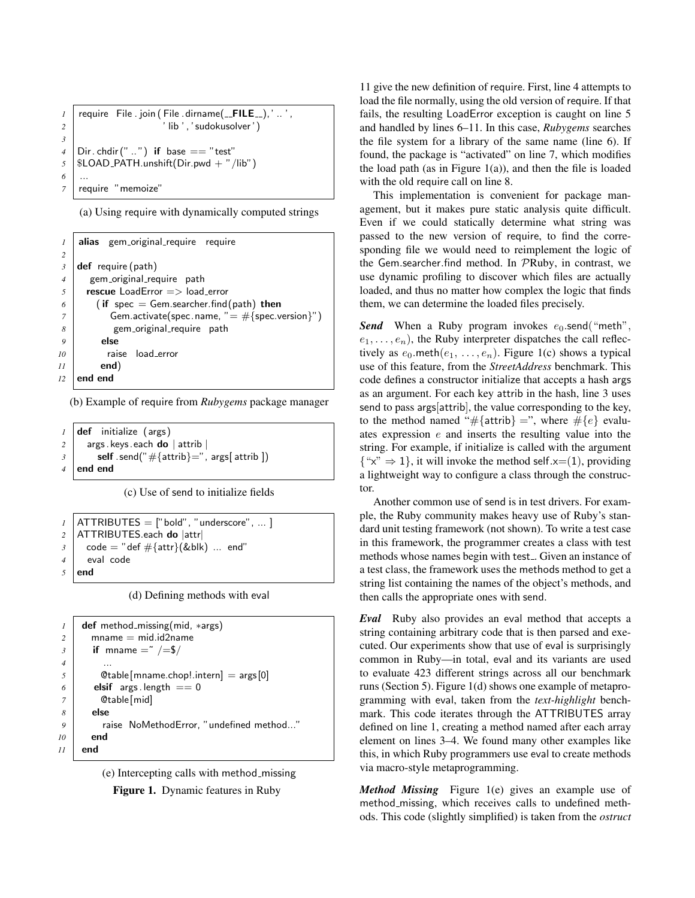```
1 \mid require File . join (File . dirname(-FILE_-,), '..',
2 \vert ' lib ', ' sudokusolver' )
3
4 | Dir. chdir (" .. ") if base == "test"
5 \exists $LOAD_PATH.unshift(Dir.pwd + "/lib")
6 ...
7 require "memoize"
```
(a) Using require with dynamically computed strings

|                | alias gem_original_require require               |  |  |  |  |  |  |  |  |
|----------------|--------------------------------------------------|--|--|--|--|--|--|--|--|
| $\overline{c}$ |                                                  |  |  |  |  |  |  |  |  |
| $\mathcal{E}$  | def require (path)                               |  |  |  |  |  |  |  |  |
| $\overline{4}$ | gem_original_require path                        |  |  |  |  |  |  |  |  |
| $\overline{5}$ | <b>rescue</b> LoadError $\equiv$ load error      |  |  |  |  |  |  |  |  |
| 6              | (if spec $=$ Gem.searcher.find(path) then        |  |  |  |  |  |  |  |  |
| 7              | Gem.activate(spec.name, $" = #$ {spec.version}") |  |  |  |  |  |  |  |  |
| 8              | gem_original_require path                        |  |  |  |  |  |  |  |  |
| 9              | else                                             |  |  |  |  |  |  |  |  |
| 10             | load error<br>raise                              |  |  |  |  |  |  |  |  |
| 11             | end)                                             |  |  |  |  |  |  |  |  |
| 12             | end end                                          |  |  |  |  |  |  |  |  |

(b) Example of require from *Rubygems* package manager

| $1$ def initialize (args)                                                         |
|-----------------------------------------------------------------------------------|
|                                                                                   |
| 2<br>args.keys.each <b>do</b>   attrib  <br>self.send("#{attrib}=", args[attrib]) |
| $4 \vert$ end end                                                                 |
|                                                                                   |

(c) Use of send to initialize fields

```
1 ATTRIBUTES = ["bold", "underscore", ... ]
2 | ATTRIBUTES.each do |attr|
\beta code = "def \#\{\text{attr}\}(\& \text{blk}) ... end"
4 eval code
5 end
```
(d) Defining methods with eval

```
1 def method_missing(mid, ∗args)
2 mname = mid.id2name
3 \mid if mname = \sim /=\frac{5}{4}4 ...
5 | Ctable[mname.chop!.intern] = args[0]
6 \mid elsif args length == 07 @table[mid]
8 else
9 raise NoMethodError, "undefined method..."
10 end
11 end
```
(e) Intercepting calls with method missing

Figure 1. Dynamic features in Ruby

11 give the new definition of require. First, line 4 attempts to load the file normally, using the old version of require. If that fails, the resulting LoadError exception is caught on line 5 and handled by lines 6–11. In this case, *Rubygems* searches the file system for a library of the same name (line 6). If found, the package is "activated" on line 7, which modifies the load path (as in Figure  $1(a)$ ), and then the file is loaded with the old require call on line 8.

This implementation is convenient for package management, but it makes pure static analysis quite difficult. Even if we could statically determine what string was passed to the new version of require, to find the corresponding file we would need to reimplement the logic of the Gem.searcher.find method. In PRuby, in contrast, we use dynamic profiling to discover which files are actually loaded, and thus no matter how complex the logic that finds them, we can determine the loaded files precisely.

**Send** When a Ruby program invokes  $e_0$  send ("meth",  $e_1, \ldots, e_n$ ), the Ruby interpreter dispatches the call reflectively as  $e_0$  meth $(e_1, \ldots, e_n)$ . Figure 1(c) shows a typical use of this feature, from the *StreetAddress* benchmark. This code defines a constructor initialize that accepts a hash args as an argument. For each key attrib in the hash, line 3 uses send to pass args[attrib], the value corresponding to the key, to the method named "#{attrib} =", where #{e} evaluates expression e and inserts the resulting value into the string. For example, if initialize is called with the argument  $\{$  "x"  $\Rightarrow$  1}, it will invoke the method self.x=(1), providing a lightweight way to configure a class through the constructor.

Another common use of send is in test drivers. For example, the Ruby community makes heavy use of Ruby's standard unit testing framework (not shown). To write a test case in this framework, the programmer creates a class with test methods whose names begin with test<sub>rie</sub>. Given an instance of a test class, the framework uses the methods method to get a string list containing the names of the object's methods, and then calls the appropriate ones with send.

*Eval* Ruby also provides an eval method that accepts a string containing arbitrary code that is then parsed and executed. Our experiments show that use of eval is surprisingly common in Ruby—in total, eval and its variants are used to evaluate 423 different strings across all our benchmark runs (Section 5). Figure 1(d) shows one example of metaprogramming with eval, taken from the *text-highlight* benchmark. This code iterates through the ATTRIBUTES array defined on line 1, creating a method named after each array element on lines 3–4. We found many other examples like this, in which Ruby programmers use eval to create methods via macro-style metaprogramming.

*Method Missing* Figure 1(e) gives an example use of method missing, which receives calls to undefined methods. This code (slightly simplified) is taken from the *ostruct*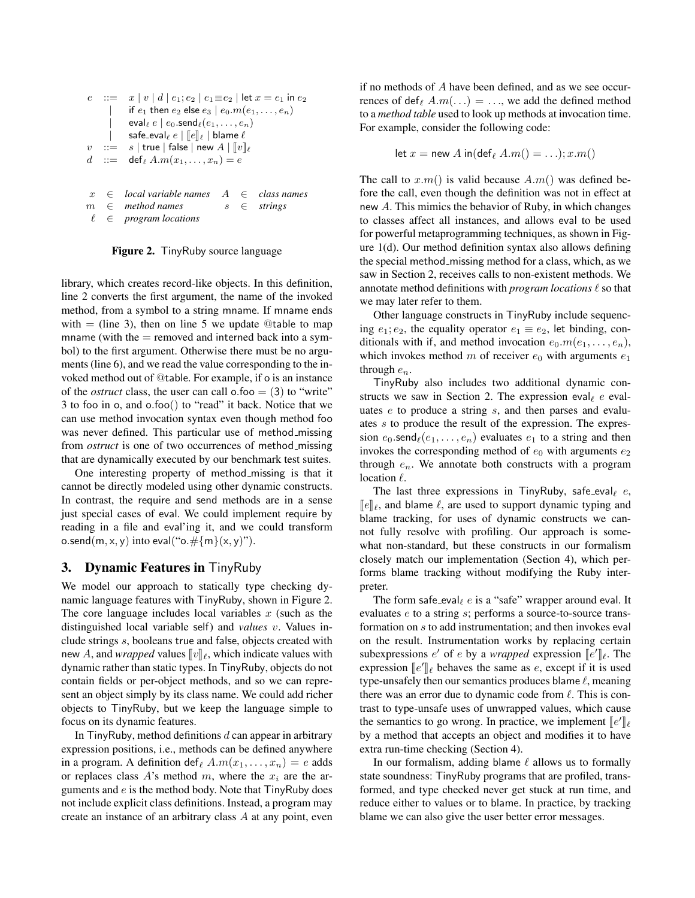```
e ::= x | v | d | e_1; e_2 | e_1 \equiv e_2 | \text{let } x = e_1 \text{ in } e_2if e_1 then e_2 else e_3 | e_0.m(e_1, \ldots, e_n)\{ \text{eval}_{\ell} \ e \mid e_0.\text{send}_{\ell}(e_1, \ldots, e_n) \}| safe_eval<sub>\ell</sub> e | [\![e]\!]_{\ell} | blame \ell<br>::= s | true | false | new A | [\![v]\!]v ::= s | true | false | new A \mid [v]<br>
d ::= def<sub>l</sub> A.m(x_1,...,x_n) = e\det_{\ell} A.m(x_1, \ldots, x_n) = ex ∈ local variable names A ∈ class names
m \in \text{method names} s \in \text{strings}\ell \in program locations
```
Figure 2. TinyRuby source language

library, which creates record-like objects. In this definition, line 2 converts the first argument, the name of the invoked method, from a symbol to a string mname. If mname ends with  $=$  (line 3), then on line 5 we update @table to map mname (with the  $=$  removed and interned back into a symbol) to the first argument. Otherwise there must be no arguments (line 6), and we read the value corresponding to the invoked method out of @table. For example, if o is an instance of the *ostruct* class, the user can call  $\circ$  foo = (3) to "write" 3 to foo in o, and o.foo() to "read" it back. Notice that we can use method invocation syntax even though method foo was never defined. This particular use of method\_missing from *ostruct* is one of two occurrences of method\_missing that are dynamically executed by our benchmark test suites.

One interesting property of method missing is that it cannot be directly modeled using other dynamic constructs. In contrast, the require and send methods are in a sense just special cases of eval. We could implement require by reading in a file and eval'ing it, and we could transform o.send(m, x, y) into eval("o.  $\#\{m\}(x, y)$ ").

# 3. Dynamic Features in TinyRuby

We model our approach to statically type checking dynamic language features with TinyRuby, shown in Figure 2. The core language includes local variables  $x$  (such as the distinguished local variable self) and *values* v. Values include strings s, booleans true and false, objects created with new A, and *wrapped* values  $\llbracket v \rrbracket_{\ell}$ , which indicate values with dynamic rather than static types. In TinyRuby, objects do not contain fields or per-object methods, and so we can represent an object simply by its class name. We could add richer objects to TinyRuby, but we keep the language simple to focus on its dynamic features.

In TinyRuby, method definitions  $d$  can appear in arbitrary expression positions, i.e., methods can be defined anywhere in a program. A definition def  $A.m(x_1, \ldots, x_n) = e$  adds or replaces class A's method m, where the  $x_i$  are the arguments and  $e$  is the method body. Note that  $T$ inyRuby does not include explicit class definitions. Instead, a program may create an instance of an arbitrary class  $A$  at any point, even

if no methods of A have been defined, and as we see occurrences of def<sub> $\ell$ </sub> A.m(...) = ..., we add the defined method to a *method table* used to look up methods at invocation time. For example, consider the following code:

$$
\text{let } x = \text{new } A \text{ in}(\text{def}_{\ell} A.m() = \ldots); x.m()
$$

The call to  $x.m()$  is valid because  $A.m()$  was defined before the call, even though the definition was not in effect at new A. This mimics the behavior of Ruby, in which changes to classes affect all instances, and allows eval to be used for powerful metaprogramming techniques, as shown in Figure 1(d). Our method definition syntax also allows defining the special method missing method for a class, which, as we saw in Section 2, receives calls to non-existent methods. We annotate method definitions with *program locations*  $\ell$  so that we may later refer to them.

Other language constructs in TinyRuby include sequencing  $e_1$ ;  $e_2$ , the equality operator  $e_1 \equiv e_2$ , let binding, conditionals with if, and method invocation  $e_0.m(e_1, \ldots, e_n)$ , which invokes method m of receiver  $e_0$  with arguments  $e_1$ through  $e_n$ .

TinyRuby also includes two additional dynamic constructs we saw in Section 2. The expression evaled  $e$  evaluates e to produce a string s, and then parses and evaluates s to produce the result of the expression. The expression  $e_0$  send $e(e_1, \ldots, e_n)$  evaluates  $e_1$  to a string and then invokes the corresponding method of  $e_0$  with arguments  $e_2$ through  $e_n$ . We annotate both constructs with a program location  $\ell$ .

The last three expressions in TinyRuby, safe\_eval<sub> $\ell$ </sub> e,  $\llbracket e \rrbracket_{\ell}$ , and blame  $\ell$ , are used to support dynamic typing and blame tracking, for uses of dynamic constructs we cannot fully resolve with profiling. Our approach is somewhat non-standard, but these constructs in our formalism closely match our implementation (Section 4), which performs blame tracking without modifying the Ruby interpreter.

The form safe\_eval<sub> $\ell$ </sub> e is a "safe" wrapper around eval. It evaluates e to a string s; performs a source-to-source transformation on s to add instrumentation; and then invokes eval on the result. Instrumentation works by replacing certain subexpressions  $e'$  of e by a *wrapped* expression  $\llbracket e' \rrbracket_{\ell}$ . The expression  $\llbracket e' \rrbracket_{\ell}$  behaves the same as e, except if it is used<br>type unsafely then our computies produces blame  $\ell$  meaning type-unsafely then our semantics produces blame  $\ell$ , meaning there was an error due to dynamic code from  $\ell$ . This is contrast to type-unsafe uses of unwrapped values, which cause the semantics to go wrong. In practice, we implement  $\llbracket e' \rrbracket$ the semantics to go wrong. In practice, we implement  $\lbrack e \rbrack \rbrack_\ell$  by a method that accepts an object and modifies it to have extra run-time checking (Section 4).

In our formalism, adding blame  $\ell$  allows us to formally state soundness: TinyRuby programs that are profiled, transformed, and type checked never get stuck at run time, and reduce either to values or to blame. In practice, by tracking blame we can also give the user better error messages.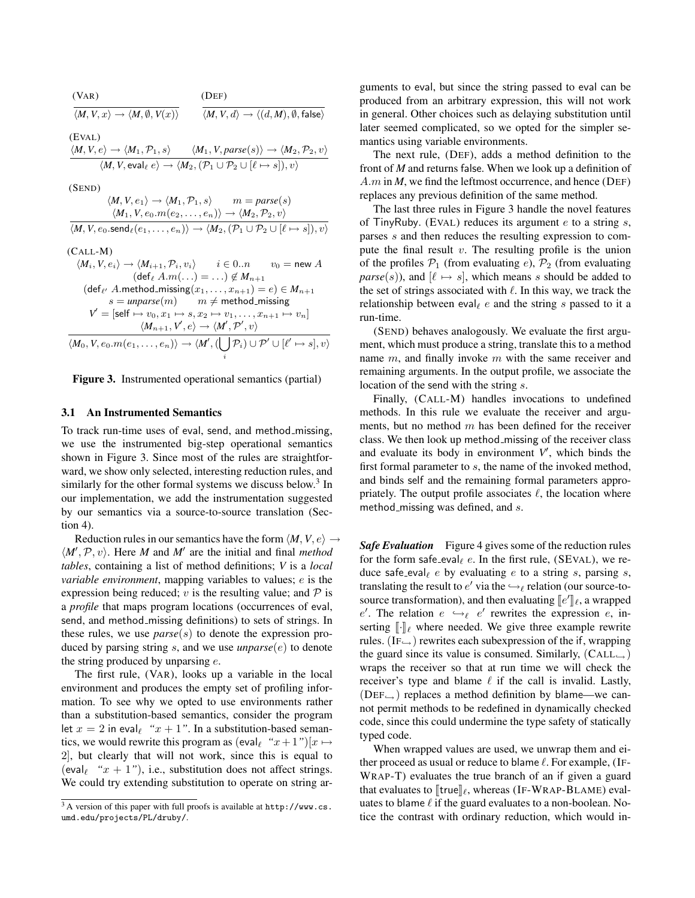| (VAR)                                                                    | (DEF)                                                                                                                                                            |
|--------------------------------------------------------------------------|------------------------------------------------------------------------------------------------------------------------------------------------------------------|
| $\langle M, V, x \rangle \rightarrow \langle M, \emptyset, V(x) \rangle$ | $\langle M, V, d \rangle \rightarrow \langle (d, M), \emptyset, \text{false} \rangle$                                                                            |
| (EVAL)                                                                   |                                                                                                                                                                  |
|                                                                          | $\langle M, V, e \rangle \rightarrow \langle M_1, \mathcal{P}_1, s \rangle$ $\langle M_1, V, parse(s) \rangle \rightarrow \langle M_2, \mathcal{P}_2, v \rangle$ |
|                                                                          | $\langle M, V, \text{eval}_{\ell} \rangle \rightarrow \langle M_2, (\mathcal{P}_1 \cup \mathcal{P}_2 \cup [\ell \mapsto s]), v \rangle$                          |
| (SEND)                                                                   |                                                                                                                                                                  |
|                                                                          | $\langle M, V, e_1 \rangle \rightarrow \langle M_1, \mathcal{P}_1, s \rangle$ $m = parse(s)$                                                                     |
|                                                                          | $\langle M_1, V, e_0.m(e_2, \ldots, e_n) \rangle \rightarrow \langle M_2, \mathcal{P}_2, v \rangle$                                                              |
|                                                                          | $\langle M, V, e_0.\text{send}_\ell(e_1, \ldots, e_n) \rangle \rightarrow \langle M_2, (\mathcal{P}_1 \cup \mathcal{P}_2 \cup [\ell \mapsto s]), v \rangle$      |
| $(CALL-M)$                                                               |                                                                                                                                                                  |
|                                                                          | $\langle M_i, V, e_i \rangle \rightarrow \langle M_{i+1}, \mathcal{P}_i, v_i \rangle$ $i \in 0n$ $v_0 =$ new A                                                   |
|                                                                          | $(\text{def}_{\ell} A.m(\ldots) = \ldots) \notin M_{n+1}$                                                                                                        |
|                                                                          | $(\text{def}_{\ell'} A.\text{method\_missing}(x_1,\ldots,x_{n+1})=e) \in M_{n+1}$                                                                                |
|                                                                          | $s = \text{unparse}(m)$ $m \neq \text{method}$ -missing                                                                                                          |
|                                                                          | $V' = [\text{self} \mapsto v_0, x_1 \mapsto s, x_2 \mapsto v_1, \dots, x_{n+1} \mapsto v_n]$                                                                     |
|                                                                          | $\langle M_{n+1}, V', e \rangle \rightarrow \langle M', \mathcal{P}', v \rangle$                                                                                 |

Figure 3. Instrumented operational semantics (partial)

i

 $\mathcal{P}_i) \cup \mathcal{P}' \cup [\ell' \mapsto s], v\rangle$ 

#### 3.1 An Instrumented Semantics

 $\langle M_0, V, e_0.m(e_1,\ldots,e_n)\rangle \rightarrow \langle M',(\mathcal{C})\rangle$ 

To track run-time uses of eval, send, and method\_missing, we use the instrumented big-step operational semantics shown in Figure 3. Since most of the rules are straightforward, we show only selected, interesting reduction rules, and similarly for the other formal systems we discuss below.<sup>3</sup> In our implementation, we add the instrumentation suggested by our semantics via a source-to-source translation (Section 4).

Reduction rules in our semantics have the form  $\langle M, V, e \rangle \rightarrow$  $\langle M', \mathcal{P}, v \rangle$ . Here *M* and *M'* are the initial and final *method tables*, containing a list of method definitions; *V* is a *local variable environment*, mapping variables to values; e is the expression being reduced;  $v$  is the resulting value; and  $\mathcal P$  is a *profile* that maps program locations (occurrences of eval, send, and method\_missing definitions) to sets of strings. In these rules, we use  $parse(s)$  to denote the expression produced by parsing string s, and we use *unparse*(e) to denote the string produced by unparsing  $e$ .

The first rule, (VAR), looks up a variable in the local environment and produces the empty set of profiling information. To see why we opted to use environments rather than a substitution-based semantics, consider the program let  $x = 2$  in eval<sub> $\ell$ </sub> " $x + 1$ ". In a substitution-based semantics, we would rewrite this program as  $(\text{eval}_{\ell}$  " $x+1$ ")[ $x \mapsto$ 2], but clearly that will not work, since this is equal to (eval<sub> $\ell$ </sub> " $x + 1$ "), i.e., substitution does not affect strings. We could try extending substitution to operate on string arguments to eval, but since the string passed to eval can be produced from an arbitrary expression, this will not work in general. Other choices such as delaying substitution until later seemed complicated, so we opted for the simpler semantics using variable environments.

The next rule, (DEF), adds a method definition to the front of *M* and returns false. When we look up a definition of A.m in *M*, we find the leftmost occurrence, and hence (DEF) replaces any previous definition of the same method.

The last three rules in Figure 3 handle the novel features of TinyRuby. (EVAL) reduces its argument  $e$  to a string  $s$ , parses s and then reduces the resulting expression to compute the final result  $v$ . The resulting profile is the union of the profiles  $P_1$  (from evaluating e),  $P_2$  (from evaluating *parse*(s)), and  $[\ell \mapsto s]$ , which means s should be added to the set of strings associated with  $\ell$ . In this way, we track the relationship between eval $\ell$  e and the string s passed to it a run-time.

(SEND) behaves analogously. We evaluate the first argument, which must produce a string, translate this to a method name  $m$ , and finally invoke  $m$  with the same receiver and remaining arguments. In the output profile, we associate the location of the send with the string s.

Finally, (CALL-M) handles invocations to undefined methods. In this rule we evaluate the receiver and arguments, but no method  $m$  has been defined for the receiver class. We then look up method missing of the receiver class and evaluate its body in environment  $V'$ , which binds the first formal parameter to s, the name of the invoked method, and binds self and the remaining formal parameters appropriately. The output profile associates  $\ell$ , the location where method missing was defined, and  $s$ .

*Safe Evaluation* Figure 4 gives some of the reduction rules for the form safe\_eval<sub> $\ell$ </sub> e. In the first rule, (SEVAL), we reduce safe\_eval $\ell$  e by evaluating e to a string s, parsing s, translating the result to  $e'$  via the  $\hookrightarrow_{\ell}$  relation (our source-tosource transformation), and then evaluating  $\llbracket e' \rrbracket_{\ell}$ , a wrapped  $e'$ . The relation  $e_1$  is  $e'_1$  rewrites the expression  $e_n$  in e'. The relation  $e \leftrightarrow_{\ell} e'$  rewrites the expression e, inserting  $\lVert \cdot \rVert_{\ell}$  where needed. We give three example rewrite rules. (IF $\rightarrow$ ) rewrites each subexpression of the if, wrapping the guard since its value is consumed. Similarly,  $(CALL_{\rightarrow})$ wraps the receiver so that at run time we will check the receiver's type and blame  $\ell$  if the call is invalid. Lastly,  $(DEF_{\hookrightarrow})$  replaces a method definition by blame—we cannot permit methods to be redefined in dynamically checked code, since this could undermine the type safety of statically typed code.

When wrapped values are used, we unwrap them and either proceed as usual or reduce to blame  $\ell$ . For example, (IF-WRAP-T) evaluates the true branch of an if given a guard that evaluates to  $[\![true]\!]_\ell$ , whereas (IF-WRAP-BLAME) evaluates to blame  $\ell$  if the guard evaluates to a non-boolean. Notice the contrast with ordinary reduction, which would in-

<sup>3</sup> A version of this paper with full proofs is available at http://www.cs. umd.edu/projects/PL/druby/.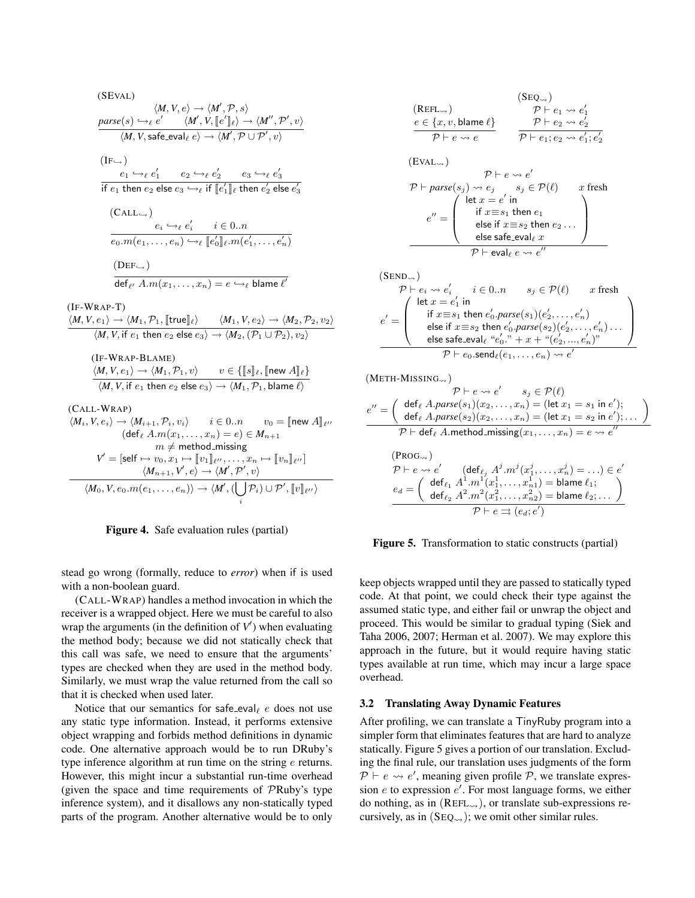$$
\langle \mathbf{B} \mathbf{E} \mathbf{V} \mathbf{A} \mathbf{L} \rangle
$$
\n
$$
\langle \mathbf{M}, V, e \rangle \rightarrow \langle \mathbf{M}', P, s \rangle
$$
\n
$$
\text{parse}(s) \rightarrow_{\ell} e' \quad \langle \mathbf{M}', V, \|\mathbf{e}'\|_{\ell} \rangle \rightarrow \langle \mathbf{M}', P', v \rangle
$$
\n
$$
\langle \mathbf{M}, V, \mathbf{safe} \cdot \mathbf{eval}_{\ell} e \rangle \rightarrow \langle \mathbf{M}', P \cup P', v \rangle
$$
\n
$$
\langle \mathbf{I} \mathbf{F} \rightarrow \rangle
$$
\n
$$
\mathbf{e}_1 \rightarrow_{\ell} e'_1 \quad e_2 \rightarrow_{\ell} e'_2 \quad e_3 \rightarrow_{\ell} e'_3
$$
\n
$$
\text{if } e_1 \text{ then } e_2 \text{ else } e_3 \rightarrow_{\ell} \text{ if } \|\mathbf{e}'_1\|_{\ell} \text{ then } e'_2 \text{ else } e'_3
$$
\n
$$
\langle \mathbf{C} \mathbf{A} \mathbf{L} \rightarrow \rangle
$$
\n
$$
\mathbf{e}_i \rightarrow_{\ell} e'_i \quad i \in 0..n
$$
\n
$$
\frac{\partial}{\partial \mathbf{F} \mathbf{F}} \rightarrow \frac{\partial}{\partial \mathbf{F} \mathbf{F}} \quad \frac{\partial}{\partial \mathbf{F}} \quad \frac{\partial}{\partial \mathbf{F}} \quad \frac{\partial}{\partial \mathbf{F}} \quad \frac{\partial}{\partial \mathbf{F}} \quad \frac{\partial}{\partial \mathbf{F}} \quad \frac{\partial}{\partial \mathbf{F}} \quad \frac{\partial}{\partial \mathbf{F}} \quad \frac{\partial}{\partial \mathbf{F}} \quad \frac{\partial}{\partial \mathbf{F}} \quad \frac{\partial}{\partial \mathbf{F}} \quad \frac{\partial}{\partial \mathbf{F}} \quad \frac{\partial}{\partial \mathbf{F}} \quad \frac{\partial}{\partial \mathbf{F}} \quad \frac{\partial}{\partial \mathbf{F}} \quad \frac{\partial}{\partial \mathbf{F}} \quad \frac{\partial}{\partial \mathbf{F}} \quad \frac{\partial}{\partial \mathbf{F}} \quad \frac{\partial}{\partial \mathbf{F}} \quad \frac{\partial}{\partial \mathbf{F}} \quad \frac{\partial}{\partial \
$$

Figure 4. Safe evaluation rules (partial)

stead go wrong (formally, reduce to *error*) when if is used with a non-boolean guard.

(CALL-WRAP) handles a method invocation in which the receiver is a wrapped object. Here we must be careful to also wrap the arguments (in the definition of  $V'$ ) when evaluating the method body; because we did not statically check that this call was safe, we need to ensure that the arguments' types are checked when they are used in the method body. Similarly, we must wrap the value returned from the call so that it is checked when used later.

Notice that our semantics for safe\_eval $_{\ell}$  e does not use any static type information. Instead, it performs extensive object wrapping and forbids method definitions in dynamic code. One alternative approach would be to run DRuby's type inference algorithm at run time on the string  $e$  returns. However, this might incur a substantial run-time overhead (given the space and time requirements of PRuby's type inference system), and it disallows any non-statically typed parts of the program. Another alternative would be to only

$$
\begin{array}{c}\n(\text{REFL}_{\rightsquigarrow}) & (\text{SEQ}_{\rightsquigarrow}) \\
\hline\ne \in \{x, v, \text{blame } \ell\} & \mathcal{P} \vdash e_1 \rightsquigarrow e'_1 \\
\hline\n\mathcal{P} \vdash e \rightsquigarrow e & \mathcal{P} \vdash e_2 \rightsquigarrow e'_2 \\
(\text{EVAL}_{\rightsquigarrow}) & \mathcal{P} \vdash e_1; e_2 \rightsquigarrow e'_1; e'_2 \\
(\text{EVAL}_{\rightsquigarrow}) & \mathcal{P} \vdash e \rightsquigarrow e' \\
\mathcal{P} \vdash parse(s_j) \rightsquigarrow e_j & s_j \in \mathcal{P}(\ell) & x \text{ fresh} \\
e'' = \left(\begin{array}{c} \text{let } x = e' \text{ in} \\
 \text{if } x \equiv s_1 \text{ then } e_1 \\
 \text{else } \text{if } x \equiv s_2 \text{ then } e_2 \dots \\
 \text{else } \text{safe} \cdot \text{eval}_{\ell} \text{ } x \end{array}\right) \\
\mathcal{P} \vdash e_i \rightsquigarrow e'_i & i \in 0..n \qquad s_j \in \mathcal{P}(\ell) & x \text{ fresh} \\
\ell' = \left(\begin{array}{c} \text{let } x = e'_1 \text{ in} \\
 \text{if } x \equiv s_1 \text{ then } e'_0 \text{.parse}(s_1)(e'_2, \dots, e'_n) \\
 \text{else } \text{if } x \equiv s_2 \text{ then } e'_0 \text{.parse}(s_2)(e'_2, \dots, e'_n) \\
 \text{else } \text{safe} \cdot \text{eval}_{\ell} \text{ "e'_0."} + x + \text{ "}(e'_2, \dots, e'_n) \\
 \text{else } \text{safe} \cdot \text{eval}_{\ell} \text{ (e_1, \dots, e_n) \rightsquigarrow e'}\n\end{array}\right)\n\end{array}
$$

$$
(METH\text{-}MISSING_\leadsto)
$$

$$
P \vdash e \leadsto e' \quad s_j \in \mathcal{P}(\ell)
$$
\n
$$
e'' = \left( \frac{\text{def}_{\ell} A.parse(s_1)(x_2, \dots, x_n) = (\text{let } x_1 = s_1 \text{ in } e');}{\text{def}_{\ell} A.parse(s_2)(x_2, \dots, x_n) = (\text{let } x_1 = s_2 \text{ in } e'); \dots} \right)
$$
\n
$$
P \vdash \text{def}_{\ell} A.\text{method\_missing}(x_1, \dots, x_n) = e \leadsto e''
$$
\n
$$
\text{(PROG}\leadsto)
$$
\n
$$
P \vdash e \leadsto e' \quad (\text{def}_{\ell_j} A^j.m^j(x_1^j, \dots, x_n^j) = \dots) \in e'
$$
\n
$$
e_d = \left( \frac{\text{def}_{\ell_1} A^1.m^1(x_1^1, \dots, x_{n1}^1) = \text{blame } \ell_1;}{\text{def}_{\ell_2} A^2.m^2(x_1^2, \dots, x_{n2}^2) = \text{blame } \ell_2; \dots} \right)
$$
\n
$$
P \vdash e \implies (e_d; e')
$$

Figure 5. Transformation to static constructs (partial)

keep objects wrapped until they are passed to statically typed code. At that point, we could check their type against the assumed static type, and either fail or unwrap the object and proceed. This would be similar to gradual typing (Siek and Taha 2006, 2007; Herman et al. 2007). We may explore this approach in the future, but it would require having static types available at run time, which may incur a large space overhead.

## 3.2 Translating Away Dynamic Features

After profiling, we can translate a TinyRuby program into a simpler form that eliminates features that are hard to analyze statically. Figure 5 gives a portion of our translation. Excluding the final rule, our translation uses judgments of the form  $\overline{\mathcal{P}} \vdash e \leadsto e'$ , meaning given profile  $\overline{\mathcal{P}}$ , we translate expression  $e$  to expression  $e'$ . For most language forms, we either do nothing, as in  $(REFL_{\infty})$ , or translate sub-expressions recursively, as in  $(SEQ_{\gamma})$ ; we omit other similar rules.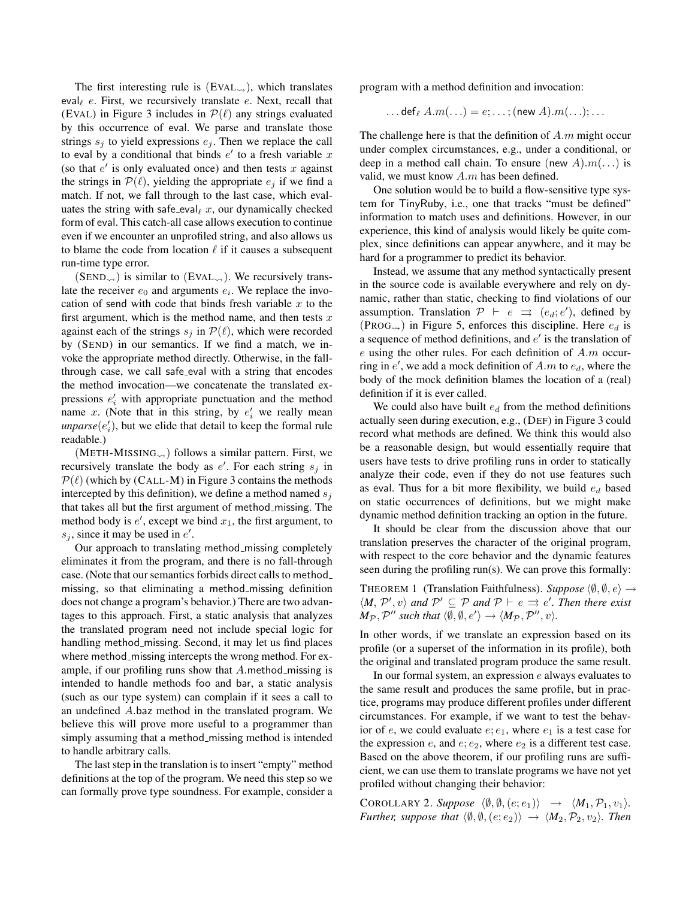The first interesting rule is  $(EVAL_{\nightharpoonup})$ , which translates eval<sub> $\ell$ </sub> e. First, we recursively translate e. Next, recall that (EVAL) in Figure 3 includes in  $P(\ell)$  any strings evaluated by this occurrence of eval. We parse and translate those strings  $s_i$  to yield expressions  $e_i$ . Then we replace the call to eval by a conditional that binds  $e'$  to a fresh variable x (so that  $e'$  is only evaluated once) and then tests  $x$  against the strings in  $\mathcal{P}(\ell)$ , yielding the appropriate  $e_i$  if we find a match. If not, we fall through to the last case, which evaluates the string with safe\_eval<sub> $\ell$ </sub> x, our dynamically checked form of eval. This catch-all case allows execution to continue even if we encounter an unprofiled string, and also allows us to blame the code from location  $\ell$  if it causes a subsequent run-time type error.

 $(SEND_{\infty})$  is similar to  $(EVAL_{\infty})$ . We recursively translate the receiver  $e_0$  and arguments  $e_i$ . We replace the invocation of send with code that binds fresh variable  $x$  to the first argument, which is the method name, and then tests  $x$ against each of the strings  $s_i$  in  $\mathcal{P}(\ell)$ , which were recorded by (SEND) in our semantics. If we find a match, we invoke the appropriate method directly. Otherwise, in the fallthrough case, we call safe eval with a string that encodes the method invocation—we concatenate the translated expressions  $e'_i$  with appropriate punctuation and the method name x. (Note that in this string, by  $e'_i$  we really mean  $\textit{unparse}(e'_i)$ , but we elide that detail to keep the formal rule readable.)

 $(METH-MISSING<sub>\nightharpoonup</sub>)$  follows a similar pattern. First, we recursively translate the body as  $e'$ . For each string  $s_j$  in  $P(\ell)$  (which by (CALL-M) in Figure 3 contains the methods intercepted by this definition), we define a method named  $s_i$ that takes all but the first argument of method missing. The method body is  $e'$ , except we bind  $x_1$ , the first argument, to  $s_j$ , since it may be used in e'.

Our approach to translating method\_missing completely eliminates it from the program, and there is no fall-through case. (Note that our semantics forbids direct calls to method missing, so that eliminating a method missing definition does not change a program's behavior.) There are two advantages to this approach. First, a static analysis that analyzes the translated program need not include special logic for handling method\_missing. Second, it may let us find places where method\_missing intercepts the wrong method. For example, if our profiling runs show that  $A$  method missing is intended to handle methods foo and bar, a static analysis (such as our type system) can complain if it sees a call to an undefined A.baz method in the translated program. We believe this will prove more useful to a programmer than simply assuming that a method missing method is intended to handle arbitrary calls.

The last step in the translation is to insert "empty" method definitions at the top of the program. We need this step so we can formally prove type soundness. For example, consider a

program with a method definition and invocation:

$$
\dots \text{def}_{\ell} A.m(\dots) = e; \dots; (\text{new } A).m(\dots); \dots
$$

The challenge here is that the definition of  $A.m$  might occur under complex circumstances, e.g., under a conditional, or deep in a method call chain. To ensure (new  $A$ ). $m$ (...) is valid, we must know A.m has been defined.

One solution would be to build a flow-sensitive type system for TinyRuby, i.e., one that tracks "must be defined" information to match uses and definitions. However, in our experience, this kind of analysis would likely be quite complex, since definitions can appear anywhere, and it may be hard for a programmer to predict its behavior.

Instead, we assume that any method syntactically present in the source code is available everywhere and rely on dynamic, rather than static, checking to find violations of our assumption. Translation  $P \vdash e \implies (e_a; e')$ , defined by  $(PROG_{\gamma})$  in Figure 5, enforces this discipline. Here  $e_d$  is a sequence of method definitions, and  $e'$  is the translation of e using the other rules. For each definition of  $A.m$  occurring in  $e'$ , we add a mock definition of  $A.m$  to  $e_d$ , where the body of the mock definition blames the location of a (real) definition if it is ever called.

We could also have built  $e_d$  from the method definitions actually seen during execution, e.g., (DEF) in Figure 3 could record what methods are defined. We think this would also be a reasonable design, but would essentially require that users have tests to drive profiling runs in order to statically analyze their code, even if they do not use features such as eval. Thus for a bit more flexibility, we build  $e_d$  based on static occurrences of definitions, but we might make dynamic method definition tracking an option in the future.

It should be clear from the discussion above that our translation preserves the character of the original program, with respect to the core behavior and the dynamic features seen during the profiling run(s). We can prove this formally:

THEOREM 1 (Translation Faithfulness). *Suppose*  $\langle \emptyset, \emptyset, e \rangle \rightarrow$  $\langle M, \mathcal{P}', v \rangle$  and  $\mathcal{P}' \subseteq \mathcal{P}$  and  $\mathcal{P} \vdash e \rightrightarrows e'$ . Then there exist  $M_{\mathcal{P}}, \mathcal{P}''$  such that  $\langle \emptyset, \emptyset, e' \rangle \rightarrow \langle M_{\mathcal{P}}, \mathcal{P}'', v \rangle$ .

In other words, if we translate an expression based on its profile (or a superset of the information in its profile), both the original and translated program produce the same result.

In our formal system, an expression e always evaluates to the same result and produces the same profile, but in practice, programs may produce different profiles under different circumstances. For example, if we want to test the behavior of e, we could evaluate  $e; e_1$ , where  $e_1$  is a test case for the expression  $e$ , and  $e$ ;  $e_2$ , where  $e_2$  is a different test case. Based on the above theorem, if our profiling runs are sufficient, we can use them to translate programs we have not yet profiled without changing their behavior:

COROLLARY 2. *Suppose*  $\langle \emptyset, \emptyset, (e; e_1) \rangle \rightarrow \langle M_1, \mathcal{P}_1, v_1 \rangle$ . *Further, suppose that*  $\langle \emptyset, \emptyset, (e; e_2) \rangle \rightarrow \langle M_2, \mathcal{P}_2, v_2 \rangle$ *. Then*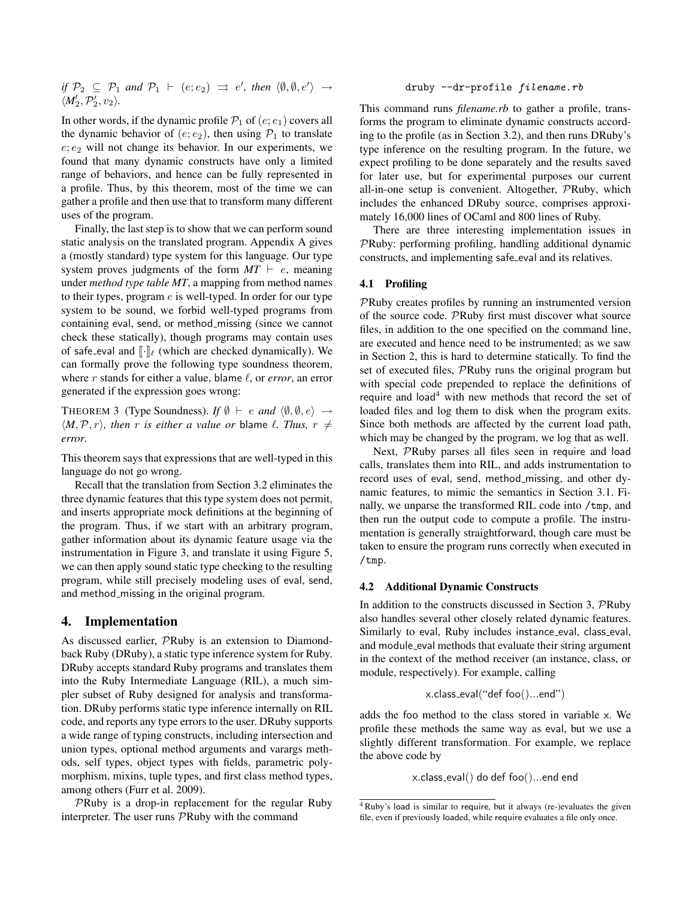*if*  $\mathcal{P}_2 \subseteq \mathcal{P}_1$  *and*  $\mathcal{P}_1 \vdash (e; e_2) \Rightarrow e'$ , *then*  $\langle \emptyset, \emptyset, e' \rangle \rightarrow$  $\langle M'_2,\mathcal{P}'_2,v_2\rangle.$ 

In other words, if the dynamic profile  $P_1$  of  $(e; e_1)$  covers all the dynamic behavior of  $(e; e_2)$ , then using  $\mathcal{P}_1$  to translate  $e; e<sub>2</sub>$  will not change its behavior. In our experiments, we found that many dynamic constructs have only a limited range of behaviors, and hence can be fully represented in a profile. Thus, by this theorem, most of the time we can gather a profile and then use that to transform many different uses of the program.

Finally, the last step is to show that we can perform sound static analysis on the translated program. Appendix A gives a (mostly standard) type system for this language. Our type system proves judgments of the form  $MT \vdash e$ , meaning under *method type table MT*, a mapping from method names to their types, program  $e$  is well-typed. In order for our type system to be sound, we forbid well-typed programs from containing eval, send, or method\_missing (since we cannot check these statically), though programs may contain uses of safe\_eval and  $\lbrack \cdot \rbrack_{\ell}$  (which are checked dynamically). We can formally prove the following type soundness theorem, where r stands for either a value, blame  $\ell$ , or *error*, an error generated if the expression goes wrong:

THEOREM 3 (Type Soundness). *If*  $\emptyset \vdash e$  *and*  $\langle \emptyset, \emptyset, e \rangle \rightarrow$  $\langle M, \mathcal{P}, r \rangle$ , then r is either a value or blame  $\ell$ . Thus,  $r \neq$ *error.*

This theorem says that expressions that are well-typed in this language do not go wrong.

Recall that the translation from Section 3.2 eliminates the three dynamic features that this type system does not permit, and inserts appropriate mock definitions at the beginning of the program. Thus, if we start with an arbitrary program, gather information about its dynamic feature usage via the instrumentation in Figure 3, and translate it using Figure 5, we can then apply sound static type checking to the resulting program, while still precisely modeling uses of eval, send, and method\_missing in the original program.

## 4. Implementation

As discussed earlier, PRuby is an extension to Diamondback Ruby (DRuby), a static type inference system for Ruby. DRuby accepts standard Ruby programs and translates them into the Ruby Intermediate Language (RIL), a much simpler subset of Ruby designed for analysis and transformation. DRuby performs static type inference internally on RIL code, and reports any type errors to the user. DRuby supports a wide range of typing constructs, including intersection and union types, optional method arguments and varargs methods, self types, object types with fields, parametric polymorphism, mixins, tuple types, and first class method types, among others (Furr et al. 2009).

PRuby is a drop-in replacement for the regular Ruby interpreter. The user runs PRuby with the command

## druby --dr-profile filename.rb

This command runs *filename.rb* to gather a profile, transforms the program to eliminate dynamic constructs according to the profile (as in Section 3.2), and then runs DRuby's type inference on the resulting program. In the future, we expect profiling to be done separately and the results saved for later use, but for experimental purposes our current all-in-one setup is convenient. Altogether, PRuby, which includes the enhanced DRuby source, comprises approximately 16,000 lines of OCaml and 800 lines of Ruby.

There are three interesting implementation issues in PRuby: performing profiling, handling additional dynamic constructs, and implementing safe eval and its relatives.

#### 4.1 Profiling

PRuby creates profiles by running an instrumented version of the source code. PRuby first must discover what source files, in addition to the one specified on the command line, are executed and hence need to be instrumented; as we saw in Section 2, this is hard to determine statically. To find the set of executed files, PRuby runs the original program but with special code prepended to replace the definitions of require and  $load<sup>4</sup>$  with new methods that record the set of loaded files and log them to disk when the program exits. Since both methods are affected by the current load path, which may be changed by the program, we log that as well.

Next, PRuby parses all files seen in require and load calls, translates them into RIL, and adds instrumentation to record uses of eval, send, method missing, and other dynamic features, to mimic the semantics in Section 3.1. Finally, we unparse the transformed RIL code into /tmp, and then run the output code to compute a profile. The instrumentation is generally straightforward, though care must be taken to ensure the program runs correctly when executed in /tmp.

#### 4.2 Additional Dynamic Constructs

In addition to the constructs discussed in Section 3, PRuby also handles several other closely related dynamic features. Similarly to eval, Ruby includes instance eval, class eval, and module eval methods that evaluate their string argument in the context of the method receiver (an instance, class, or module, respectively). For example, calling

$$
x.class\_eval("def~foo().end")
$$

adds the foo method to the class stored in variable x. We profile these methods the same way as eval, but we use a slightly different transformation. For example, we replace the above code by

x.class eval() do def foo()...end end

<sup>4</sup> Ruby's load is similar to require, but it always (re-)evaluates the given file, even if previously loaded, while require evaluates a file only once.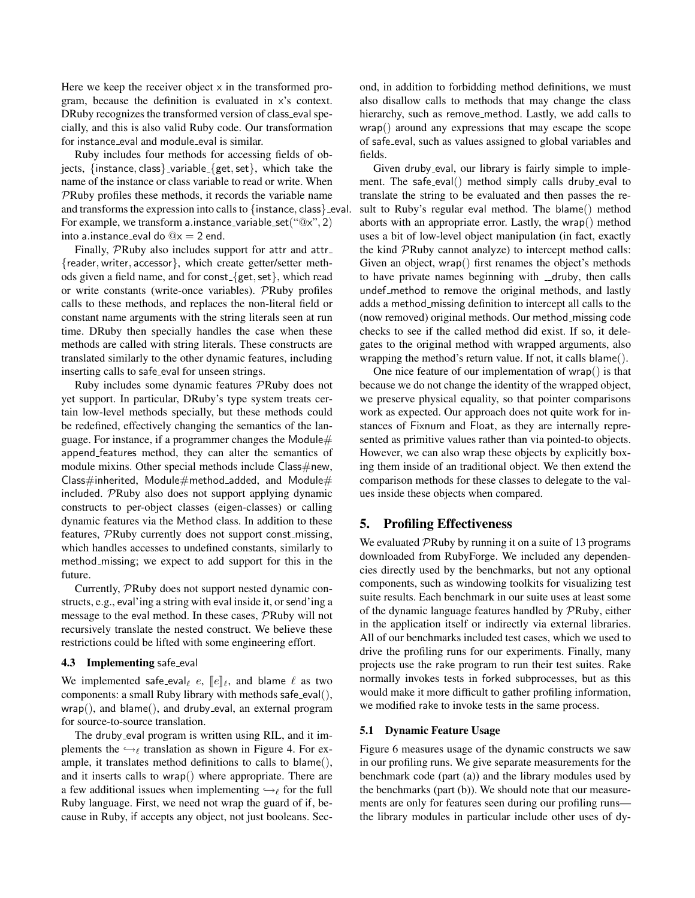Here we keep the receiver object  $x$  in the transformed program, because the definition is evaluated in x's context. DRuby recognizes the transformed version of class\_eval specially, and this is also valid Ruby code. Our transformation for instance eval and module eval is similar.

Ruby includes four methods for accessing fields of objects, {instance, class} variable  $\{get, set\}$ , which take the name of the instance or class variable to read or write. When PRuby profiles these methods, it records the variable name and transforms the expression into calls to  $\{$  instance, class $\}$  eval. For example, we transform a instance variable set  $("@x", 2)$ into a instance eval do  $@x = 2$  end.

Finally, PRuby also includes support for attr and attr\_ {reader,writer, accessor}, which create getter/setter methods given a field name, and for const {get,set}, which read or write constants (write-once variables). PRuby profiles calls to these methods, and replaces the non-literal field or constant name arguments with the string literals seen at run time. DRuby then specially handles the case when these methods are called with string literals. These constructs are translated similarly to the other dynamic features, including inserting calls to safe\_eval for unseen strings.

Ruby includes some dynamic features PRuby does not yet support. In particular, DRuby's type system treats certain low-level methods specially, but these methods could be redefined, effectively changing the semantics of the language. For instance, if a programmer changes the Module  $#$ append features method, they can alter the semantics of module mixins. Other special methods include  $\text{Class} \# \text{new}$ ,  $Class#inherited, Module#method\_added, and Module#$ included. PRuby also does not support applying dynamic constructs to per-object classes (eigen-classes) or calling dynamic features via the Method class. In addition to these features, PRuby currently does not support const\_missing, which handles accesses to undefined constants, similarly to method missing; we expect to add support for this in the future.

Currently, PRuby does not support nested dynamic constructs, e.g., eval'ing a string with eval inside it, or send'ing a message to the eval method. In these cases, PRuby will not recursively translate the nested construct. We believe these restrictions could be lifted with some engineering effort.

#### 4.3 Implementing safe\_eval

We implemented safe\_evale  $e$ ,  $\llbracket e \rrbracket_{\ell}$ , and blame  $\ell$  as two components: a small Ruby library with methods safe\_eval(),  $wrap(),$  and  $blame(),$  and druby eval, an external program for source-to-source translation.

The druby eval program is written using RIL, and it implements the  $\hookrightarrow_{\ell}$  translation as shown in Figure 4. For example, it translates method definitions to calls to blame(), and it inserts calls to wrap() where appropriate. There are a few additional issues when implementing  $\hookrightarrow$  for the full Ruby language. First, we need not wrap the guard of if, because in Ruby, if accepts any object, not just booleans. Second, in addition to forbidding method definitions, we must also disallow calls to methods that may change the class hierarchy, such as remove\_method. Lastly, we add calls to wrap() around any expressions that may escape the scope of safe eval, such as values assigned to global variables and fields.

Given druby eval, our library is fairly simple to implement. The safe\_eval() method simply calls druby\_eval to translate the string to be evaluated and then passes the result to Ruby's regular eval method. The blame() method aborts with an appropriate error. Lastly, the wrap() method uses a bit of low-level object manipulation (in fact, exactly the kind PRuby cannot analyze) to intercept method calls: Given an object, wrap() first renames the object's methods to have private names beginning with  $-druby$ , then calls undef method to remove the original methods, and lastly adds a method\_missing definition to intercept all calls to the (now removed) original methods. Our method missing code checks to see if the called method did exist. If so, it delegates to the original method with wrapped arguments, also wrapping the method's return value. If not, it calls blame().

One nice feature of our implementation of wrap() is that because we do not change the identity of the wrapped object, we preserve physical equality, so that pointer comparisons work as expected. Our approach does not quite work for instances of Fixnum and Float, as they are internally represented as primitive values rather than via pointed-to objects. However, we can also wrap these objects by explicitly boxing them inside of an traditional object. We then extend the comparison methods for these classes to delegate to the values inside these objects when compared.

## 5. Profiling Effectiveness

We evaluated PRuby by running it on a suite of 13 programs downloaded from RubyForge. We included any dependencies directly used by the benchmarks, but not any optional components, such as windowing toolkits for visualizing test suite results. Each benchmark in our suite uses at least some of the dynamic language features handled by PRuby, either in the application itself or indirectly via external libraries. All of our benchmarks included test cases, which we used to drive the profiling runs for our experiments. Finally, many projects use the rake program to run their test suites. Rake normally invokes tests in forked subprocesses, but as this would make it more difficult to gather profiling information, we modified rake to invoke tests in the same process.

#### 5.1 Dynamic Feature Usage

Figure 6 measures usage of the dynamic constructs we saw in our profiling runs. We give separate measurements for the benchmark code (part (a)) and the library modules used by the benchmarks (part (b)). We should note that our measurements are only for features seen during our profiling runs the library modules in particular include other uses of dy-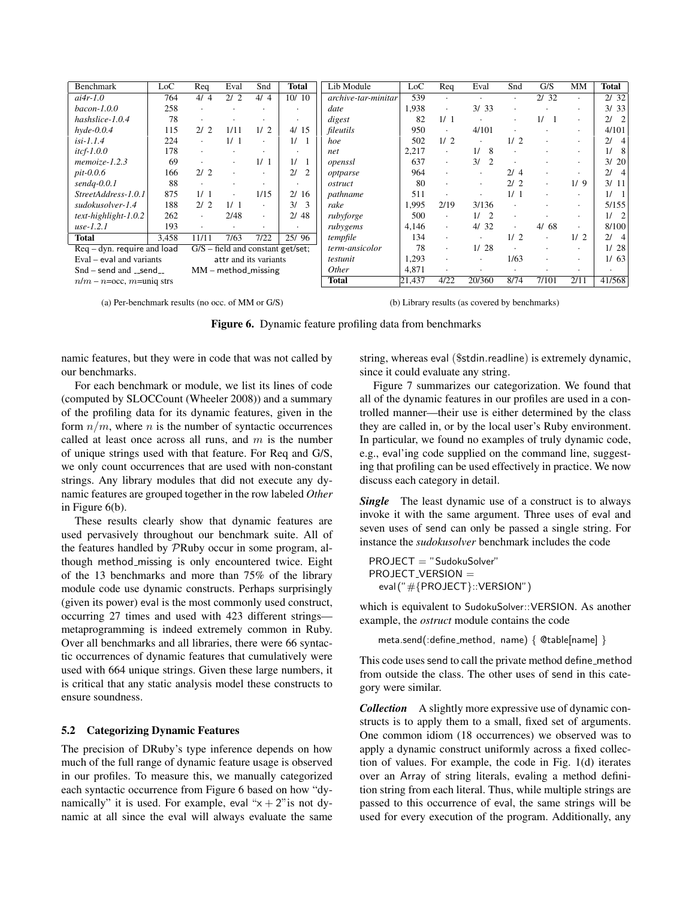| Benchmark                                                                                      | $_{\text{LoC}}$ | Req                  | Eval           | Snd       | Total   | Lib Module          | $_{\rm LoC}$ | Req                  | Eval                 | Snd                  | G/S  | MM                   | <b>Total</b>         |
|------------------------------------------------------------------------------------------------|-----------------|----------------------|----------------|-----------|---------|---------------------|--------------|----------------------|----------------------|----------------------|------|----------------------|----------------------|
| $ai4r-1.0$                                                                                     | 764             | 4/4                  | 2/2            | 4/4       | 10/10   | archive-tar-minitar | 539          | $\cdot$              | $\cdot$              | $\ddot{\phantom{0}}$ | 2/32 | $\ddot{\phantom{0}}$ | 2/32                 |
| $bacon-1.0.0$                                                                                  | 258             |                      |                |           |         | date                | 1,938        | $\cdot$              | 3/33                 |                      |      | $\ddot{\phantom{0}}$ | 3/33                 |
| hashslice-1.0.4                                                                                | 78              |                      |                | $\bullet$ |         | digest              | 82           | 1/1                  |                      | ۰                    | 1/1  | $\bullet$            | 2<br>2I              |
| $hyde-0.0.4$                                                                                   | 115             | 2/2                  | 1/11           | 1/2       | 4/15    | fileutils           | 950          | $\cdot$              | 4/101                |                      |      | $\ddot{\phantom{0}}$ | 4/101                |
| $i$ si-1.1.4                                                                                   | 224             |                      | 1/1            | $\cdot$   | 1/      | hoe                 | 502          | 1/2                  |                      | 1/2                  |      | $\ddot{\phantom{0}}$ | 2l<br>$\overline{4}$ |
| $itcf-1.0.0$                                                                                   | 178             |                      |                | $\cdot$   |         | net                 | 2,217        |                      | -8<br>1/             |                      |      | $\ddot{\phantom{0}}$ | 8<br>1/              |
| $memoize-1.2.3$                                                                                | 69              |                      | $\cdot$        | 1/1       | 1/      | openssl             | 637          |                      | 3/<br>$\overline{2}$ |                      |      | $\ddot{\phantom{0}}$ | 3/20                 |
| $pit-0.0.6$                                                                                    | 166             | 2/2                  |                | $\cdot$   | 2<br>2l | optparse            | 964          |                      |                      | 2/4                  |      | $\cdot$              | 2l<br>4              |
| $sendq-0.0.1$                                                                                  | 88              |                      |                | $\cdot$   |         | ostruct             | 80           |                      |                      | 2/2                  |      | 1/9                  | 3/11                 |
| StreetAddress-1.0.1                                                                            | 875             | 1/1                  |                | 1/15      | 2/16    | pathname            | 511          |                      |                      | 1/1                  |      | $\ddot{\phantom{0}}$ | 1/1                  |
| sudokusolver-1.4                                                                               | 188             | 2/2                  | 1/1            | $\cdot$   | 3<br>3/ | rake                | 1,995        | 2/19                 | 3/136                |                      |      | $\ddot{\phantom{0}}$ | 5/155                |
| $text$ -highlight- $1.0.2$                                                                     | 262             | $\bullet$            | 2/48           | $\bullet$ | 2/48    | rubyforge           | 500          |                      | 1/2                  | $\cdot$              |      | $\ddot{\phantom{0}}$ | 2<br>1/              |
| $use-1.2.1$                                                                                    | 193             | $\ddot{\phantom{0}}$ |                | $\cdot$   |         | rubygems            | 4.146        | $\cdot$              | 4/32                 |                      | 4/68 | $\ddot{\phantom{0}}$ | 8/100                |
| Total                                                                                          | 3,458           | 11/11                | 7/63           | 7/22      | 25/96   | tempfile            | 134          |                      |                      | 1/2                  | ۰    | 1/2                  | 2l<br>$\overline{4}$ |
| $\text{Re}q - \text{dyn}$ . require and load<br>$\overline{G/S}$ – field and constant get/set; |                 |                      | term-ansicolor | 78        |         | 1/28                |              |                      | $\ddot{\phantom{0}}$ | 1/28                 |      |                      |                      |
| attr and its variants<br>Eval – eval and variants                                              |                 | testunit             | 1,293          |           |         | 1/63                |              | $\ddot{\phantom{0}}$ | 1/63                 |                      |      |                      |                      |
| $MM$ – method_missing<br>$Snd$ – send and $\text{}$ send $\text{}$                             |                 | <b>Other</b>         | 4,871          | $\cdot$   | $\cdot$ |                     |              | $\ddot{\phantom{0}}$ |                      |                      |      |                      |                      |
| $n/m - n =$ occ, m=uniq strs                                                                   |                 |                      | Total          | 21,437    | 4/22    | 20/360              | 8/74         | 7/101                | 2/11                 | 41/568               |      |                      |                      |

(a) Per-benchmark results (no occ. of MM or G/S) (b) Library results (as covered by benchmarks)

Figure 6. Dynamic feature profiling data from benchmarks

namic features, but they were in code that was not called by our benchmarks.

For each benchmark or module, we list its lines of code (computed by SLOCCount (Wheeler 2008)) and a summary of the profiling data for its dynamic features, given in the form  $n/m$ , where n is the number of syntactic occurrences called at least once across all runs, and  $m$  is the number of unique strings used with that feature. For Req and G/S, we only count occurrences that are used with non-constant strings. Any library modules that did not execute any dynamic features are grouped together in the row labeled *Other* in Figure 6(b).

These results clearly show that dynamic features are used pervasively throughout our benchmark suite. All of the features handled by PRuby occur in some program, although method\_missing is only encountered twice. Eight of the 13 benchmarks and more than 75% of the library module code use dynamic constructs. Perhaps surprisingly (given its power) eval is the most commonly used construct, occurring 27 times and used with 423 different strings metaprogramming is indeed extremely common in Ruby. Over all benchmarks and all libraries, there were 66 syntactic occurrences of dynamic features that cumulatively were used with 664 unique strings. Given these large numbers, it is critical that any static analysis model these constructs to ensure soundness.

## 5.2 Categorizing Dynamic Features

The precision of DRuby's type inference depends on how much of the full range of dynamic feature usage is observed in our profiles. To measure this, we manually categorized each syntactic occurrence from Figure 6 based on how "dynamically" it is used. For example, eval " $x + 2$ " is not dynamic at all since the eval will always evaluate the same

string, whereas eval (\$stdin.readline) is extremely dynamic, since it could evaluate any string.

Figure 7 summarizes our categorization. We found that all of the dynamic features in our profiles are used in a controlled manner—their use is either determined by the class they are called in, or by the local user's Ruby environment. In particular, we found no examples of truly dynamic code, e.g., eval'ing code supplied on the command line, suggesting that profiling can be used effectively in practice. We now discuss each category in detail.

*Single* The least dynamic use of a construct is to always invoke it with the same argument. Three uses of eval and seven uses of send can only be passed a single string. For instance the *sudokusolver* benchmark includes the code

PROJECT = "SudokuSolver" PROJECT\_VERSION = eval ("#{PROJECT}::VERSION")

which is equivalent to SudokuSolver::VERSION. As another example, the *ostruct* module contains the code

```
meta.send(:define method, name) { @table[name] }
```
This code uses send to call the private method define\_method from outside the class. The other uses of send in this category were similar.

*Collection* A slightly more expressive use of dynamic constructs is to apply them to a small, fixed set of arguments. One common idiom (18 occurrences) we observed was to apply a dynamic construct uniformly across a fixed collection of values. For example, the code in Fig. 1(d) iterates over an Array of string literals, evaling a method definition string from each literal. Thus, while multiple strings are passed to this occurrence of eval, the same strings will be used for every execution of the program. Additionally, any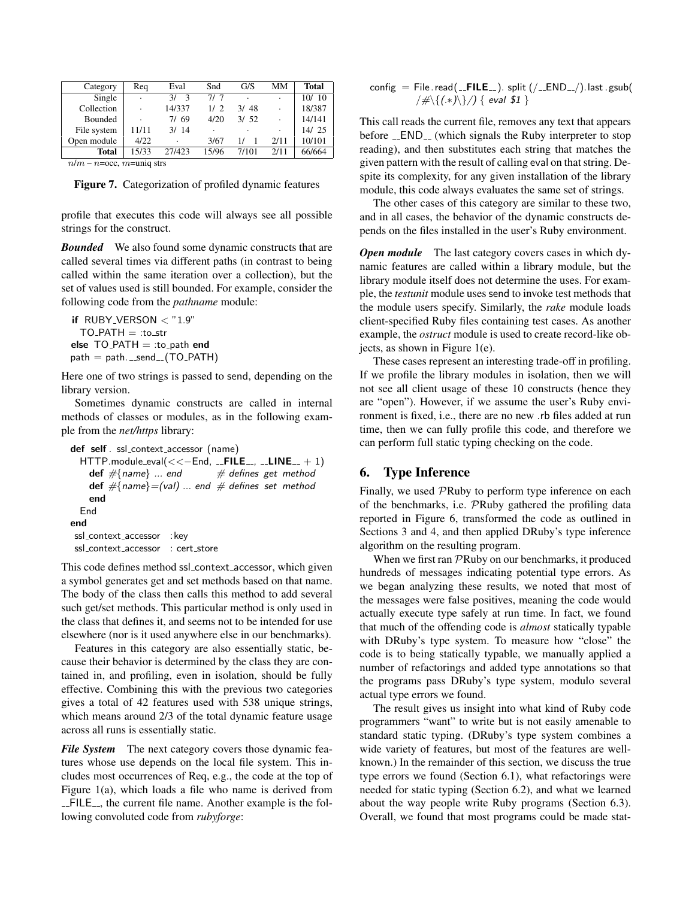| Category                     | Req   | Eval    | Snd   | G/S   | MМ                   | <b>Total</b> |
|------------------------------|-------|---------|-------|-------|----------------------|--------------|
| Single                       | ٠     | 3<br>3/ | 717   |       | $\ddot{\phantom{0}}$ | 10/10        |
| Collection                   |       | 14/337  | 1/2   | 3/48  | ٠                    | 18/387       |
| Bounded                      |       | 7/69    | 4/20  | 3/52  | ٠                    | 14/141       |
| File system                  | 11/11 | 3/14    |       |       | ٠                    | 14/25        |
| Open module                  | 4/22  |         | 3/67  | 17    | 2/11                 | 10/101       |
| <b>Total</b>                 | 15/33 | 27/423  | 15/96 | 7/101 | 2/11                 | 66/664       |
| $n/m - n =$ occ, m=uniq strs |       |         |       |       |                      |              |

Figure 7. Categorization of profiled dynamic features

profile that executes this code will always see all possible strings for the construct.

*Bounded* We also found some dynamic constructs that are called several times via different paths (in contrast to being called within the same iteration over a collection), but the set of values used is still bounded. For example, consider the following code from the *pathname* module:

if RUBY VERSON < "1.9"  $TO\_PATH = :to\_str$ else  $TO$ -PATH  $=$  :to-path end  $path = path$ . \_send \_\_  $(TO$  PATH)

Here one of two strings is passed to send, depending on the library version.

Sometimes dynamic constructs are called in internal methods of classes or modules, as in the following example from the *net/https* library:

```
def self. ssl_context_accessor (name)
```

```
HTTP.module_eval\left(<-End, _FILE_, _LINE + 1)
   def \#\{name\} ... end \# defines get method
   def \#\{name\} = (val) ... end \# defines set method
   end
  End
end
ssl_context_accessor : key
 ssl_context_accessor : cert_store
```
This code defines method ssl context accessor, which given a symbol generates get and set methods based on that name. The body of the class then calls this method to add several such get/set methods. This particular method is only used in the class that defines it, and seems not to be intended for use elsewhere (nor is it used anywhere else in our benchmarks).

Features in this category are also essentially static, because their behavior is determined by the class they are contained in, and profiling, even in isolation, should be fully effective. Combining this with the previous two categories gives a total of 42 features used with 538 unique strings, which means around 2/3 of the total dynamic feature usage across all runs is essentially static.

*File System* The next category covers those dynamic features whose use depends on the local file system. This includes most occurrences of Req, e.g., the code at the top of Figure 1(a), which loads a file who name is derived from LE ..., the current file name. Another example is the following convoluted code from *rubyforge*:

$$
\text{config} = \text{File.read}(\_\text{FILE\_}). \text{ split } (\_\text{FND}/). \text{last } . \text{gsub}(\_\text{#}\backslash \{(.*)\}) / \text{ } \{\text{ eval } \$1 \}
$$

This call reads the current file, removes any text that appears before \_\_END\_\_ (which signals the Ruby interpreter to stop reading), and then substitutes each string that matches the given pattern with the result of calling eval on that string. Despite its complexity, for any given installation of the library module, this code always evaluates the same set of strings.

The other cases of this category are similar to these two, and in all cases, the behavior of the dynamic constructs depends on the files installed in the user's Ruby environment.

*Open module* The last category covers cases in which dynamic features are called within a library module, but the library module itself does not determine the uses. For example, the *testunit* module uses send to invoke test methods that the module users specify. Similarly, the *rake* module loads client-specified Ruby files containing test cases. As another example, the *ostruct* module is used to create record-like objects, as shown in Figure 1(e).

These cases represent an interesting trade-off in profiling. If we profile the library modules in isolation, then we will not see all client usage of these 10 constructs (hence they are "open"). However, if we assume the user's Ruby environment is fixed, i.e., there are no new .rb files added at run time, then we can fully profile this code, and therefore we can perform full static typing checking on the code.

## 6. Type Inference

Finally, we used PRuby to perform type inference on each of the benchmarks, i.e. PRuby gathered the profiling data reported in Figure 6, transformed the code as outlined in Sections 3 and 4, and then applied DRuby's type inference algorithm on the resulting program.

When we first ran  $PRuby$  on our benchmarks, it produced hundreds of messages indicating potential type errors. As we began analyzing these results, we noted that most of the messages were false positives, meaning the code would actually execute type safely at run time. In fact, we found that much of the offending code is *almost* statically typable with DRuby's type system. To measure how "close" the code is to being statically typable, we manually applied a number of refactorings and added type annotations so that the programs pass DRuby's type system, modulo several actual type errors we found.

The result gives us insight into what kind of Ruby code programmers "want" to write but is not easily amenable to standard static typing. (DRuby's type system combines a wide variety of features, but most of the features are wellknown.) In the remainder of this section, we discuss the true type errors we found (Section 6.1), what refactorings were needed for static typing (Section 6.2), and what we learned about the way people write Ruby programs (Section 6.3). Overall, we found that most programs could be made stat-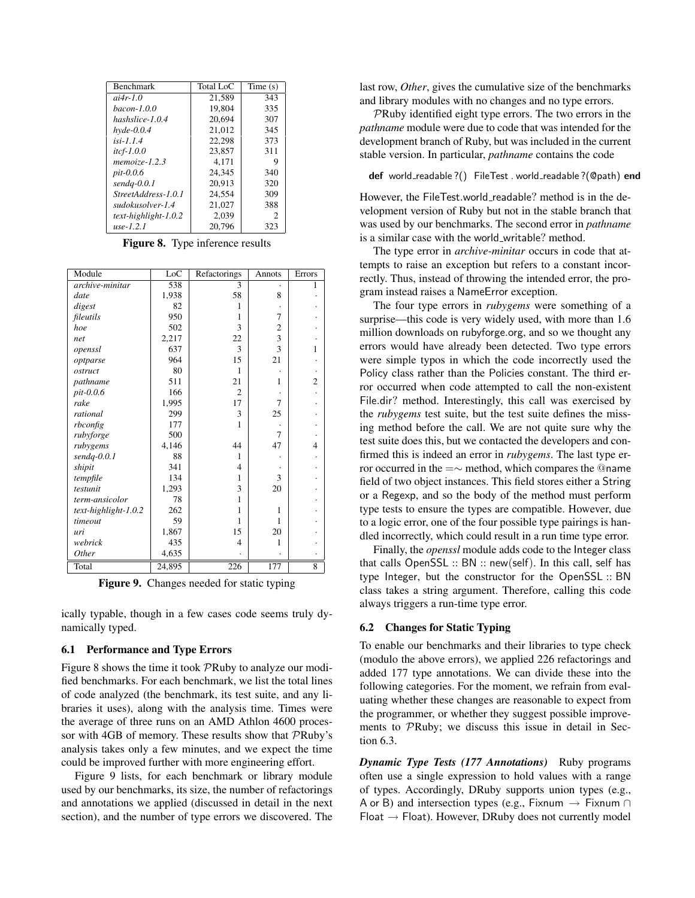| <b>Benchmark</b>     | Total LoC | Time(s) |
|----------------------|-----------|---------|
| $ai4r-1.0$           | 21.589    | 343     |
| bacon-1.0.0          | 19.804    | 335     |
| hashslice-1.0.4      | 20,694    | 307     |
| $h$ vde- $0.0.4$     | 21,012    | 345     |
| isi-1 1 4            | 22.298    | 373     |
| <i>itcf-1.0.0</i>    | 23.857    | 311     |
| $memoize-1.2.3$      | 4.171     | 9       |
| $pit-0.0.6$          | 24.345    | 340     |
| $sendq-0.0.1$        | 20.913    | 320     |
| StreetAddress-1.0.1  | 24.554    | 309     |
| sudokusolver-1.4     | 21,027    | 388     |
| text-highlight-1.0.2 | 2.039     | 2       |
| use-1.2.1            | 20.796    | 323     |

Figure 8. Type inference results

| Module               | Loc    | Refactorings   | Annots         | <b>Errors</b>  |
|----------------------|--------|----------------|----------------|----------------|
| archive-minitar      | 538    | 3              |                | 1              |
| date                 | 1,938  | 58             | 8              |                |
| digest               | 82     | 1              |                |                |
| fileutils            | 950    | 1              | 7              |                |
| hoe                  | 502    | 3              | $\overline{c}$ |                |
| net                  | 2,217  | 22             | 3              |                |
| openssl              | 637    | 3              | 3              | 1              |
| optparse             | 964    | 15             | 21             |                |
| ostruct              | 80     | 1              |                |                |
| pathname             | 511    | 21             | 1              | $\overline{c}$ |
| $pit-0.0.6$          | 166    | $\overline{c}$ |                |                |
| rake                 | 1,995  | 17             | 7              |                |
| rational             | 299    | 3              | 25             |                |
| rbconfig             | 177    | 1              |                |                |
| rubyforge            | 500    |                | 7              |                |
| rubygems             | 4,146  | 44             | 47             | $\overline{4}$ |
| $sendq-0.0.1$        | 88     | 1              |                |                |
| shipit               | 341    | $\overline{4}$ |                |                |
| tempfile             | 134    | $\mathbf{1}$   | 3              |                |
| testunit             | 1,293  | 3              | 20             |                |
| term-ansicolor       | 78     | $\mathbf{1}$   |                |                |
| text-highlight-1.0.2 | 262    | $\mathbf{1}$   | $\mathbf{1}$   |                |
| timeout              | 59     | 1              | 1              |                |
| uri                  | 1,867  | 15             | 20             |                |
| webrick              | 435    | 4              | 1              |                |
| Other                | 4,635  |                |                |                |
| Total                | 24,895 | 226            | 177            | 8              |

Figure 9. Changes needed for static typing

ically typable, though in a few cases code seems truly dynamically typed.

#### 6.1 Performance and Type Errors

Figure 8 shows the time it took PRuby to analyze our modified benchmarks. For each benchmark, we list the total lines of code analyzed (the benchmark, its test suite, and any libraries it uses), along with the analysis time. Times were the average of three runs on an AMD Athlon 4600 processor with 4GB of memory. These results show that PRuby's analysis takes only a few minutes, and we expect the time could be improved further with more engineering effort.

Figure 9 lists, for each benchmark or library module used by our benchmarks, its size, the number of refactorings and annotations we applied (discussed in detail in the next section), and the number of type errors we discovered. The

last row, *Other*, gives the cumulative size of the benchmarks and library modules with no changes and no type errors.

PRuby identified eight type errors. The two errors in the *pathname* module were due to code that was intended for the development branch of Ruby, but was included in the current stable version. In particular, *pathname* contains the code

#### def world\_readable ?() FileTest . world\_readable ?(@path) end

However, the FileTest.world\_readable? method is in the development version of Ruby but not in the stable branch that was used by our benchmarks. The second error in *pathname* is a similar case with the world writable? method.

The type error in *archive-minitar* occurs in code that attempts to raise an exception but refers to a constant incorrectly. Thus, instead of throwing the intended error, the program instead raises a NameError exception.

The four type errors in *rubygems* were something of a surprise—this code is very widely used, with more than 1.6 million downloads on rubyforge.org, and so we thought any errors would have already been detected. Two type errors were simple typos in which the code incorrectly used the Policy class rather than the Policies constant. The third error occurred when code attempted to call the non-existent File.dir? method. Interestingly, this call was exercised by the *rubygems* test suite, but the test suite defines the missing method before the call. We are not quite sure why the test suite does this, but we contacted the developers and confirmed this is indeed an error in *rubygems*. The last type error occurred in the =∼ method, which compares the @name field of two object instances. This field stores either a String or a Regexp, and so the body of the method must perform type tests to ensure the types are compatible. However, due to a logic error, one of the four possible type pairings is handled incorrectly, which could result in a run time type error.

Finally, the *openssl* module adds code to the Integer class that calls OpenSSL :: BN :: new(self). In this call, self has type Integer, but the constructor for the OpenSSL :: BN class takes a string argument. Therefore, calling this code always triggers a run-time type error.

## 6.2 Changes for Static Typing

To enable our benchmarks and their libraries to type check (modulo the above errors), we applied 226 refactorings and added 177 type annotations. We can divide these into the following categories. For the moment, we refrain from evaluating whether these changes are reasonable to expect from the programmer, or whether they suggest possible improvements to PRuby; we discuss this issue in detail in Section 6.3.

*Dynamic Type Tests (177 Annotations)* Ruby programs often use a single expression to hold values with a range of types. Accordingly, DRuby supports union types (e.g., A or B) and intersection types (e.g., Fixnum  $\rightarrow$  Fixnum  $\cap$ Float  $\rightarrow$  Float). However, DRuby does not currently model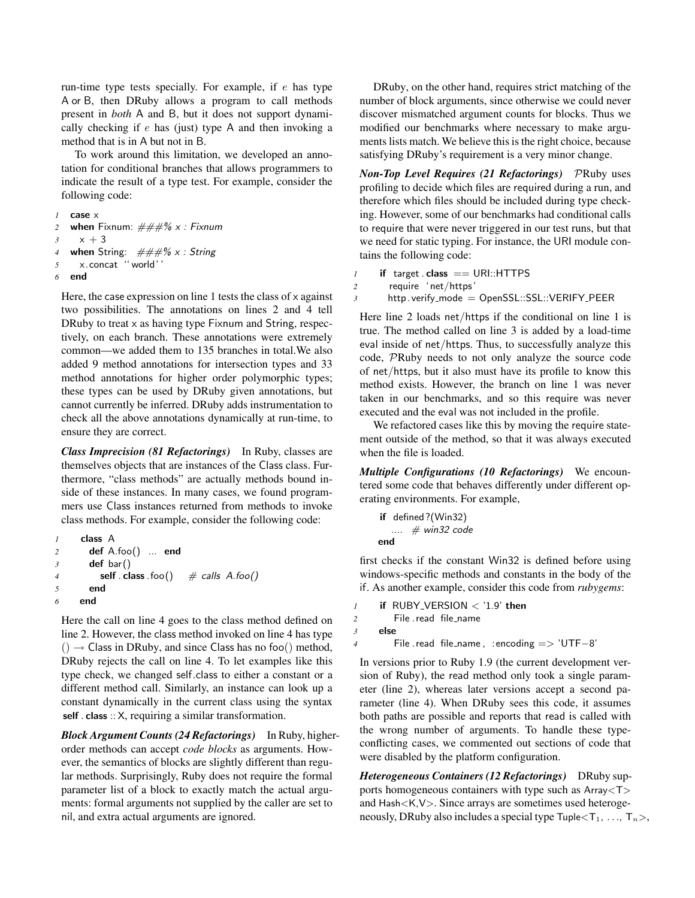run-time type tests specially. For example, if  $e$  has type A or B, then DRuby allows a program to call methods present in *both* A and B, but it does not support dynamically checking if  $e$  has (just) type A and then invoking a method that is in A but not in B.

To work around this limitation, we developed an annotation for conditional branches that allows programmers to indicate the result of a type test. For example, consider the following code:

```
1 case x
2 when Fixnum: \# \# \# \% \times: Fixnum
3 x + 34 when String: ###% x : String
5 x.concat '' world' '
6 end
```
Here, the case expression on line  $1$  tests the class of  $\times$  against two possibilities. The annotations on lines 2 and 4 tell DRuby to treat x as having type Fixnum and String, respectively, on each branch. These annotations were extremely common—we added them to 135 branches in total.We also added 9 method annotations for intersection types and 33 method annotations for higher order polymorphic types; these types can be used by DRuby given annotations, but cannot currently be inferred. DRuby adds instrumentation to check all the above annotations dynamically at run-time, to ensure they are correct.

*Class Imprecision (81 Refactorings)* In Ruby, classes are themselves objects that are instances of the Class class. Furthermore, "class methods" are actually methods bound inside of these instances. In many cases, we found programmers use Class instances returned from methods to invoke class methods. For example, consider the following code:

```
1 class A
2 def A.foo() ... end
3 def bar()
4 self \cdot class \cdot foo() \# calls A \cdot foo()5 end
6 end
```
Here the call on line 4 goes to the class method defined on line 2. However, the class method invoked on line 4 has type  $() \rightarrow$  Class in DRuby, and since Class has no foo $()$  method, DRuby rejects the call on line 4. To let examples like this type check, we changed self.class to either a constant or a different method call. Similarly, an instance can look up a constant dynamically in the current class using the syntax self . class :: X, requiring a similar transformation.

*Block Argument Counts (24 Refactorings)* In Ruby, higherorder methods can accept *code blocks* as arguments. However, the semantics of blocks are slightly different than regular methods. Surprisingly, Ruby does not require the formal parameter list of a block to exactly match the actual arguments: formal arguments not supplied by the caller are set to nil, and extra actual arguments are ignored.

DRuby, on the other hand, requires strict matching of the number of block arguments, since otherwise we could never discover mismatched argument counts for blocks. Thus we modified our benchmarks where necessary to make arguments lists match. We believe this is the right choice, because satisfying DRuby's requirement is a very minor change.

*Non-Top Level Requires (21 Refactorings)* PRuby uses profiling to decide which files are required during a run, and therefore which files should be included during type checking. However, some of our benchmarks had conditional calls to require that were never triggered in our test runs, but that we need for static typing. For instance, the URI module contains the following code:

```
1 if target class == URI::HTTPS
```

```
2 require 'net/https'
```

```
3 http.verify_mode = OpenSSL::SSL::VERIFY_PEER
```
Here line 2 loads net/https if the conditional on line 1 is true. The method called on line 3 is added by a load-time eval inside of net/https. Thus, to successfully analyze this code, PRuby needs to not only analyze the source code of net/https, but it also must have its profile to know this method exists. However, the branch on line 1 was never taken in our benchmarks, and so this require was never executed and the eval was not included in the profile.

We refactored cases like this by moving the require statement outside of the method, so that it was always executed when the file is loaded.

*Multiple Configurations (10 Refactorings)* We encountered some code that behaves differently under different operating environments. For example,

```
if defined?(Win32)
  \ldots # win32 code
end
```
first checks if the constant Win32 is defined before using windows-specific methods and constants in the body of the if. As another example, consider this code from *rubygems*:

```
1 if RUBY VERSION < '1.9' then
2 File . read file name
3 else
4 File . read file name , :encoding => 'UTF−8'
```
In versions prior to Ruby 1.9 (the current development version of Ruby), the read method only took a single parameter (line 2), whereas later versions accept a second parameter (line 4). When DRuby sees this code, it assumes both paths are possible and reports that read is called with the wrong number of arguments. To handle these typeconflicting cases, we commented out sections of code that were disabled by the platform configuration.

*Heterogeneous Containers (12 Refactorings)* DRuby supports homogeneous containers with type such as Array<T> and Hash<K,V>. Since arrays are sometimes used heterogeneously, DRuby also includes a special type  $T_{\text{tuple}} < T_1, \ldots, T_n$ ,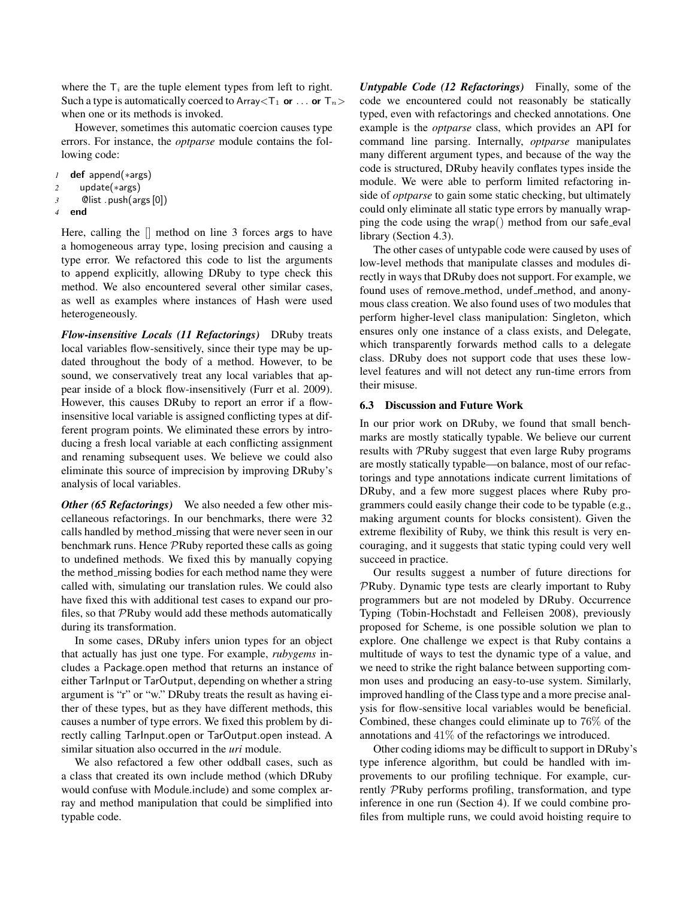where the  $T_i$  are the tuple element types from left to right. Such a type is automatically coerced to Array $\langle T_1 \text{ or } ... \text{ or } T_n \rangle$ when one or its methods is invoked.

However, sometimes this automatic coercion causes type errors. For instance, the *optparse* module contains the following code:

- *1* def append(∗args)
- *2* update(∗args)
- *3* @list .push(args [0])
- *4* end

Here, calling the [] method on line 3 forces args to have a homogeneous array type, losing precision and causing a type error. We refactored this code to list the arguments to append explicitly, allowing DRuby to type check this method. We also encountered several other similar cases, as well as examples where instances of Hash were used heterogeneously.

*Flow-insensitive Locals (11 Refactorings)* DRuby treats local variables flow-sensitively, since their type may be updated throughout the body of a method. However, to be sound, we conservatively treat any local variables that appear inside of a block flow-insensitively (Furr et al. 2009). However, this causes DRuby to report an error if a flowinsensitive local variable is assigned conflicting types at different program points. We eliminated these errors by introducing a fresh local variable at each conflicting assignment and renaming subsequent uses. We believe we could also eliminate this source of imprecision by improving DRuby's analysis of local variables.

*Other (65 Refactorings)* We also needed a few other miscellaneous refactorings. In our benchmarks, there were 32 calls handled by method missing that were never seen in our benchmark runs. Hence PRuby reported these calls as going to undefined methods. We fixed this by manually copying the method\_missing bodies for each method name they were called with, simulating our translation rules. We could also have fixed this with additional test cases to expand our profiles, so that PRuby would add these methods automatically during its transformation.

In some cases, DRuby infers union types for an object that actually has just one type. For example, *rubygems* includes a Package.open method that returns an instance of either TarInput or TarOutput, depending on whether a string argument is "r" or "w." DRuby treats the result as having either of these types, but as they have different methods, this causes a number of type errors. We fixed this problem by directly calling TarInput.open or TarOutput.open instead. A similar situation also occurred in the *uri* module.

We also refactored a few other oddball cases, such as a class that created its own include method (which DRuby would confuse with Module.include) and some complex array and method manipulation that could be simplified into typable code.

*Untypable Code (12 Refactorings)* Finally, some of the code we encountered could not reasonably be statically typed, even with refactorings and checked annotations. One example is the *optparse* class, which provides an API for command line parsing. Internally, *optparse* manipulates many different argument types, and because of the way the code is structured, DRuby heavily conflates types inside the module. We were able to perform limited refactoring inside of *optparse* to gain some static checking, but ultimately could only eliminate all static type errors by manually wrapping the code using the wrap() method from our safe eval library (Section 4.3).

The other cases of untypable code were caused by uses of low-level methods that manipulate classes and modules directly in ways that DRuby does not support. For example, we found uses of remove\_method, undef\_method, and anonymous class creation. We also found uses of two modules that perform higher-level class manipulation: Singleton, which ensures only one instance of a class exists, and Delegate, which transparently forwards method calls to a delegate class. DRuby does not support code that uses these lowlevel features and will not detect any run-time errors from their misuse.

## 6.3 Discussion and Future Work

In our prior work on DRuby, we found that small benchmarks are mostly statically typable. We believe our current results with PRuby suggest that even large Ruby programs are mostly statically typable—on balance, most of our refactorings and type annotations indicate current limitations of DRuby, and a few more suggest places where Ruby programmers could easily change their code to be typable (e.g., making argument counts for blocks consistent). Given the extreme flexibility of Ruby, we think this result is very encouraging, and it suggests that static typing could very well succeed in practice.

Our results suggest a number of future directions for PRuby. Dynamic type tests are clearly important to Ruby programmers but are not modeled by DRuby. Occurrence Typing (Tobin-Hochstadt and Felleisen 2008), previously proposed for Scheme, is one possible solution we plan to explore. One challenge we expect is that Ruby contains a multitude of ways to test the dynamic type of a value, and we need to strike the right balance between supporting common uses and producing an easy-to-use system. Similarly, improved handling of the Class type and a more precise analysis for flow-sensitive local variables would be beneficial. Combined, these changes could eliminate up to 76% of the annotations and 41% of the refactorings we introduced.

Other coding idioms may be difficult to support in DRuby's type inference algorithm, but could be handled with improvements to our profiling technique. For example, currently PRuby performs profiling, transformation, and type inference in one run (Section 4). If we could combine profiles from multiple runs, we could avoid hoisting require to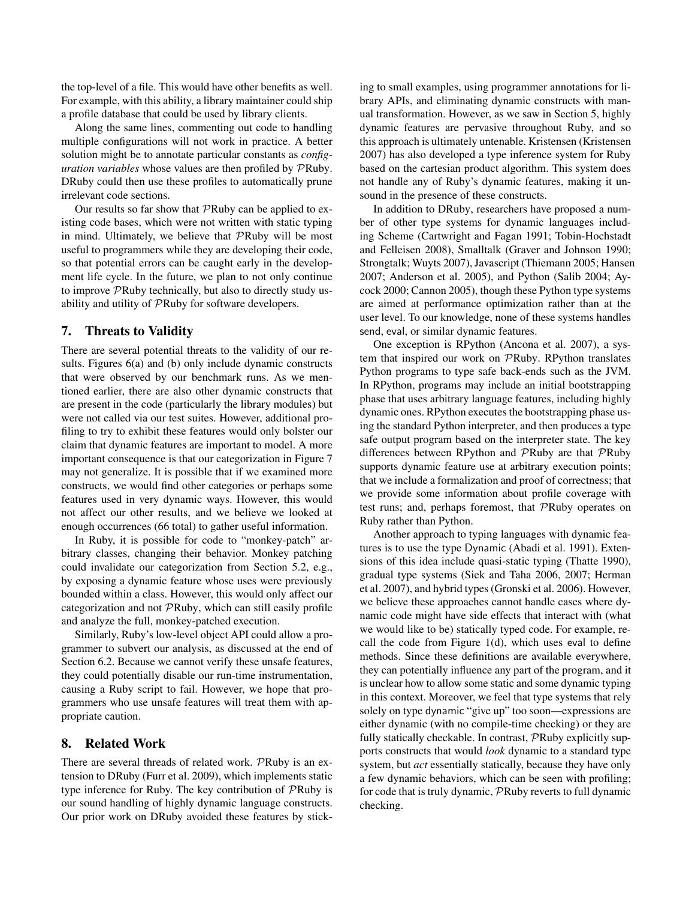the top-level of a file. This would have other benefits as well. For example, with this ability, a library maintainer could ship a profile database that could be used by library clients.

Along the same lines, commenting out code to handling multiple configurations will not work in practice. A better solution might be to annotate particular constants as *configuration variables* whose values are then profiled by PRuby. DRuby could then use these profiles to automatically prune irrelevant code sections.

Our results so far show that PRuby can be applied to existing code bases, which were not written with static typing in mind. Ultimately, we believe that PRuby will be most useful to programmers while they are developing their code, so that potential errors can be caught early in the development life cycle. In the future, we plan to not only continue to improve PRuby technically, but also to directly study usability and utility of PRuby for software developers.

## 7. Threats to Validity

There are several potential threats to the validity of our results. Figures 6(a) and (b) only include dynamic constructs that were observed by our benchmark runs. As we mentioned earlier, there are also other dynamic constructs that are present in the code (particularly the library modules) but were not called via our test suites. However, additional profiling to try to exhibit these features would only bolster our claim that dynamic features are important to model. A more important consequence is that our categorization in Figure 7 may not generalize. It is possible that if we examined more constructs, we would find other categories or perhaps some features used in very dynamic ways. However, this would not affect our other results, and we believe we looked at enough occurrences (66 total) to gather useful information.

In Ruby, it is possible for code to "monkey-patch" arbitrary classes, changing their behavior. Monkey patching could invalidate our categorization from Section 5.2, e.g., by exposing a dynamic feature whose uses were previously bounded within a class. However, this would only affect our categorization and not PRuby, which can still easily profile and analyze the full, monkey-patched execution.

Similarly, Ruby's low-level object API could allow a programmer to subvert our analysis, as discussed at the end of Section 6.2. Because we cannot verify these unsafe features, they could potentially disable our run-time instrumentation, causing a Ruby script to fail. However, we hope that programmers who use unsafe features will treat them with appropriate caution.

## 8. Related Work

There are several threads of related work. PRuby is an extension to DRuby (Furr et al. 2009), which implements static type inference for Ruby. The key contribution of PRuby is our sound handling of highly dynamic language constructs. Our prior work on DRuby avoided these features by sticking to small examples, using programmer annotations for library APIs, and eliminating dynamic constructs with manual transformation. However, as we saw in Section 5, highly dynamic features are pervasive throughout Ruby, and so this approach is ultimately untenable. Kristensen (Kristensen 2007) has also developed a type inference system for Ruby based on the cartesian product algorithm. This system does not handle any of Ruby's dynamic features, making it unsound in the presence of these constructs.

In addition to DRuby, researchers have proposed a number of other type systems for dynamic languages including Scheme (Cartwright and Fagan 1991; Tobin-Hochstadt and Felleisen 2008), Smalltalk (Graver and Johnson 1990; Strongtalk; Wuyts 2007), Javascript (Thiemann 2005; Hansen 2007; Anderson et al. 2005), and Python (Salib 2004; Aycock 2000; Cannon 2005), though these Python type systems are aimed at performance optimization rather than at the user level. To our knowledge, none of these systems handles send, eval, or similar dynamic features.

One exception is RPython (Ancona et al. 2007), a system that inspired our work on PRuby. RPython translates Python programs to type safe back-ends such as the JVM. In RPython, programs may include an initial bootstrapping phase that uses arbitrary language features, including highly dynamic ones. RPython executes the bootstrapping phase using the standard Python interpreter, and then produces a type safe output program based on the interpreter state. The key differences between RPython and PRuby are that PRuby supports dynamic feature use at arbitrary execution points; that we include a formalization and proof of correctness; that we provide some information about profile coverage with test runs; and, perhaps foremost, that PRuby operates on Ruby rather than Python.

Another approach to typing languages with dynamic features is to use the type Dynamic (Abadi et al. 1991). Extensions of this idea include quasi-static typing (Thatte 1990), gradual type systems (Siek and Taha 2006, 2007; Herman et al. 2007), and hybrid types (Gronski et al. 2006). However, we believe these approaches cannot handle cases where dynamic code might have side effects that interact with (what we would like to be) statically typed code. For example, recall the code from Figure  $1(d)$ , which uses eval to define methods. Since these definitions are available everywhere, they can potentially influence any part of the program, and it is unclear how to allow some static and some dynamic typing in this context. Moreover, we feel that type systems that rely solely on type dynamic "give up" too soon—expressions are either dynamic (with no compile-time checking) or they are fully statically checkable. In contrast, PRuby explicitly supports constructs that would *look* dynamic to a standard type system, but *act* essentially statically, because they have only a few dynamic behaviors, which can be seen with profiling; for code that is truly dynamic, PRuby reverts to full dynamic checking.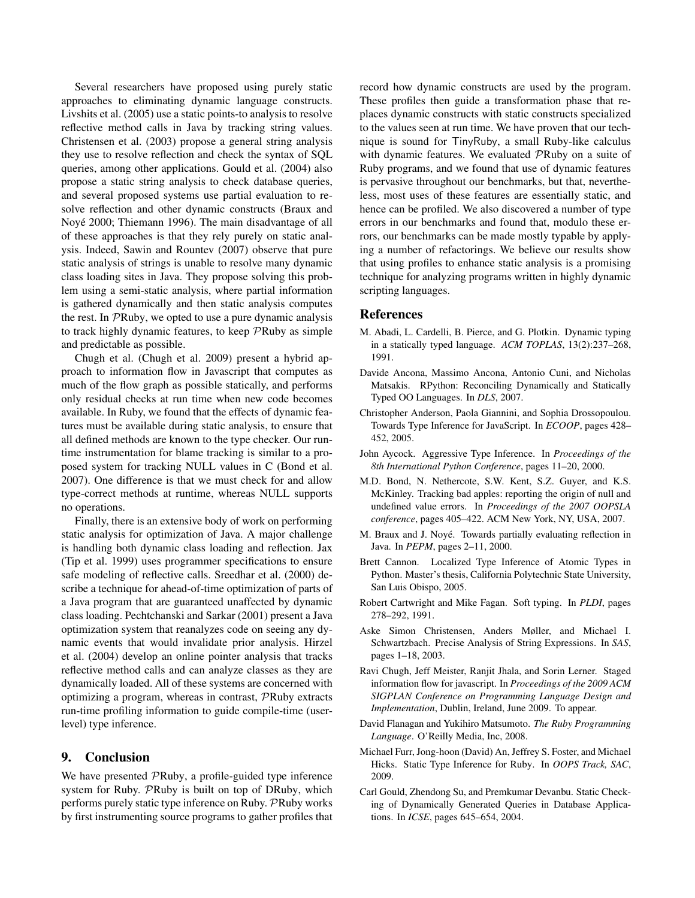Several researchers have proposed using purely static approaches to eliminating dynamic language constructs. Livshits et al. (2005) use a static points-to analysis to resolve reflective method calls in Java by tracking string values. Christensen et al. (2003) propose a general string analysis they use to resolve reflection and check the syntax of SQL queries, among other applications. Gould et al. (2004) also propose a static string analysis to check database queries, and several proposed systems use partial evaluation to resolve reflection and other dynamic constructs (Braux and Noyé 2000; Thiemann 1996). The main disadvantage of all of these approaches is that they rely purely on static analysis. Indeed, Sawin and Rountev (2007) observe that pure static analysis of strings is unable to resolve many dynamic class loading sites in Java. They propose solving this problem using a semi-static analysis, where partial information is gathered dynamically and then static analysis computes the rest. In PRuby, we opted to use a pure dynamic analysis to track highly dynamic features, to keep PRuby as simple and predictable as possible.

Chugh et al. (Chugh et al. 2009) present a hybrid approach to information flow in Javascript that computes as much of the flow graph as possible statically, and performs only residual checks at run time when new code becomes available. In Ruby, we found that the effects of dynamic features must be available during static analysis, to ensure that all defined methods are known to the type checker. Our runtime instrumentation for blame tracking is similar to a proposed system for tracking NULL values in C (Bond et al. 2007). One difference is that we must check for and allow type-correct methods at runtime, whereas NULL supports no operations.

Finally, there is an extensive body of work on performing static analysis for optimization of Java. A major challenge is handling both dynamic class loading and reflection. Jax (Tip et al. 1999) uses programmer specifications to ensure safe modeling of reflective calls. Sreedhar et al. (2000) describe a technique for ahead-of-time optimization of parts of a Java program that are guaranteed unaffected by dynamic class loading. Pechtchanski and Sarkar (2001) present a Java optimization system that reanalyzes code on seeing any dynamic events that would invalidate prior analysis. Hirzel et al. (2004) develop an online pointer analysis that tracks reflective method calls and can analyze classes as they are dynamically loaded. All of these systems are concerned with optimizing a program, whereas in contrast, PRuby extracts run-time profiling information to guide compile-time (userlevel) type inference.

# 9. Conclusion

We have presented PRuby, a profile-guided type inference system for Ruby. PRuby is built on top of DRuby, which performs purely static type inference on Ruby. PRuby works by first instrumenting source programs to gather profiles that record how dynamic constructs are used by the program. These profiles then guide a transformation phase that replaces dynamic constructs with static constructs specialized to the values seen at run time. We have proven that our technique is sound for TinyRuby, a small Ruby-like calculus with dynamic features. We evaluated PRuby on a suite of Ruby programs, and we found that use of dynamic features is pervasive throughout our benchmarks, but that, nevertheless, most uses of these features are essentially static, and hence can be profiled. We also discovered a number of type errors in our benchmarks and found that, modulo these errors, our benchmarks can be made mostly typable by applying a number of refactorings. We believe our results show that using profiles to enhance static analysis is a promising technique for analyzing programs written in highly dynamic scripting languages.

## References

- M. Abadi, L. Cardelli, B. Pierce, and G. Plotkin. Dynamic typing in a statically typed language. *ACM TOPLAS*, 13(2):237–268, 1991.
- Davide Ancona, Massimo Ancona, Antonio Cuni, and Nicholas Matsakis. RPython: Reconciling Dynamically and Statically Typed OO Languages. In *DLS*, 2007.
- Christopher Anderson, Paola Giannini, and Sophia Drossopoulou. Towards Type Inference for JavaScript. In *ECOOP*, pages 428– 452, 2005.
- John Aycock. Aggressive Type Inference. In *Proceedings of the 8th International Python Conference*, pages 11–20, 2000.
- M.D. Bond, N. Nethercote, S.W. Kent, S.Z. Guyer, and K.S. McKinley. Tracking bad apples: reporting the origin of null and undefined value errors. In *Proceedings of the 2007 OOPSLA conference*, pages 405–422. ACM New York, NY, USA, 2007.
- M. Braux and J. Noyé. Towards partially evaluating reflection in Java. In *PEPM*, pages 2–11, 2000.
- Brett Cannon. Localized Type Inference of Atomic Types in Python. Master's thesis, California Polytechnic State University, San Luis Obispo, 2005.
- Robert Cartwright and Mike Fagan. Soft typing. In *PLDI*, pages 278–292, 1991.
- Aske Simon Christensen, Anders Møller, and Michael I. Schwartzbach. Precise Analysis of String Expressions. In *SAS*, pages 1–18, 2003.
- Ravi Chugh, Jeff Meister, Ranjit Jhala, and Sorin Lerner. Staged information flow for javascript. In *Proceedings of the 2009 ACM SIGPLAN Conference on Programming Language Design and Implementation*, Dublin, Ireland, June 2009. To appear.
- David Flanagan and Yukihiro Matsumoto. *The Ruby Programming Language*. O'Reilly Media, Inc, 2008.
- Michael Furr, Jong-hoon (David) An, Jeffrey S. Foster, and Michael Hicks. Static Type Inference for Ruby. In *OOPS Track, SAC*, 2009.
- Carl Gould, Zhendong Su, and Premkumar Devanbu. Static Checking of Dynamically Generated Queries in Database Applications. In *ICSE*, pages 645–654, 2004.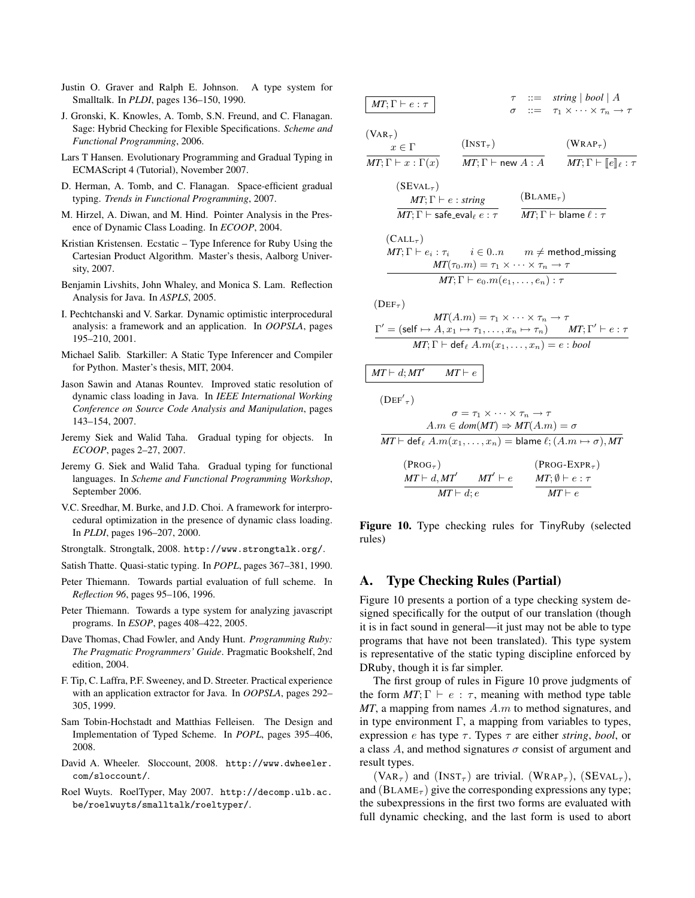- Justin O. Graver and Ralph E. Johnson. A type system for Smalltalk. In *PLDI*, pages 136–150, 1990.
- J. Gronski, K. Knowles, A. Tomb, S.N. Freund, and C. Flanagan. Sage: Hybrid Checking for Flexible Specifications. *Scheme and Functional Programming*, 2006.
- Lars T Hansen. Evolutionary Programming and Gradual Typing in ECMAScript 4 (Tutorial), November 2007.
- D. Herman, A. Tomb, and C. Flanagan. Space-efficient gradual typing. *Trends in Functional Programming*, 2007.
- M. Hirzel, A. Diwan, and M. Hind. Pointer Analysis in the Presence of Dynamic Class Loading. In *ECOOP*, 2004.
- Kristian Kristensen. Ecstatic Type Inference for Ruby Using the Cartesian Product Algorithm. Master's thesis, Aalborg University, 2007.
- Benjamin Livshits, John Whaley, and Monica S. Lam. Reflection Analysis for Java. In *ASPLS*, 2005.
- I. Pechtchanski and V. Sarkar. Dynamic optimistic interprocedural analysis: a framework and an application. In *OOPSLA*, pages 195–210, 2001.
- Michael Salib. Starkiller: A Static Type Inferencer and Compiler for Python. Master's thesis, MIT, 2004.
- Jason Sawin and Atanas Rountev. Improved static resolution of dynamic class loading in Java. In *IEEE International Working Conference on Source Code Analysis and Manipulation*, pages 143–154, 2007.
- Jeremy Siek and Walid Taha. Gradual typing for objects. In *ECOOP*, pages 2–27, 2007.
- Jeremy G. Siek and Walid Taha. Gradual typing for functional languages. In *Scheme and Functional Programming Workshop*, September 2006.
- V.C. Sreedhar, M. Burke, and J.D. Choi. A framework for interprocedural optimization in the presence of dynamic class loading. In *PLDI*, pages 196–207, 2000.
- Strongtalk. Strongtalk, 2008. http://www.strongtalk.org/.
- Satish Thatte. Quasi-static typing. In *POPL*, pages 367–381, 1990.
- Peter Thiemann. Towards partial evaluation of full scheme. In *Reflection 96*, pages 95–106, 1996.
- Peter Thiemann. Towards a type system for analyzing javascript programs. In *ESOP*, pages 408–422, 2005.
- Dave Thomas, Chad Fowler, and Andy Hunt. *Programming Ruby: The Pragmatic Programmers' Guide*. Pragmatic Bookshelf, 2nd edition, 2004.
- F. Tip, C. Laffra, P.F. Sweeney, and D. Streeter. Practical experience with an application extractor for Java. In *OOPSLA*, pages 292– 305, 1999.
- Sam Tobin-Hochstadt and Matthias Felleisen. The Design and Implementation of Typed Scheme. In *POPL*, pages 395–406, 2008.
- David A. Wheeler. Sloccount, 2008. http://www.dwheeler. com/sloccount/.
- Roel Wuyts. RoelTyper, May 2007. http://decomp.ulb.ac. be/roelwuyts/smalltalk/roeltyper/.

| $\mid MT;\Gamma\vdash e:\tau\mid$ |  | $\tau$ ::= string   bool   A                             |
|-----------------------------------|--|----------------------------------------------------------|
|                                   |  | $\sigma$ : $\tau_1 \times \cdots \times \tau_n \to \tau$ |

$$
\frac{(VAR_{\tau})}{MT; \Gamma \vdash x : \Gamma(x)} \qquad \frac{(INT_{\tau})}{MT; \Gamma \vdash \text{new } A : A} \qquad \frac{(WRAP_{\tau})}{MT; \Gamma \vdash [\![e]\!]_{\ell} : \tau}
$$

$$
\frac{\text{(SEVAL}_{\tau})}{MT;\Gamma \vdash e : string} \qquad \frac{\text{(BLAME}_{\tau})}{MT;\Gamma \vdash safe\_eval_{\ell} e : \tau} \qquad \frac{\text{(BLAME}_{\tau})}{MT;\Gamma \vdash blame \ell : \tau}
$$

$$
(CALL\tau)
$$
  
\n
$$
MT; \Gamma \vdash e_i : \tau_i \qquad i \in 0..n \qquad m \neq \text{method}.\text{missing}
$$
  
\n
$$
MT(\tau_0.m) = \tau_1 \times \cdots \times \tau_n \to \tau
$$
  
\n
$$
MT; \Gamma \vdash e_0.m(e_1, \ldots, e_n) : \tau
$$

 $(DEF_{\tau})$ 

$$
MT(A.m) = \tau_1 \times \cdots \times \tau_n \to \tau
$$
  

$$
\Gamma' = (\text{self} \mapsto A, x_1 \mapsto \tau_1, \dots, x_n \mapsto \tau_n) \qquad MT; \Gamma' \vdash e : \tau
$$
  

$$
MT; \Gamma \vdash \text{def}_{\ell} A.m(x_1, \dots, x_n) = e : \text{bool}
$$

$$
MT \vdash d; MT \qquad MT \vdash e
$$
\n
$$
(DEF'_{\tau})
$$
\n
$$
\sigma = \tau_1 \times \cdots \times \tau_n \to \tau
$$
\n
$$
A.m \in dom(MT) \Rightarrow MT(A.m) = \sigma
$$
\n
$$
MT \vdash def_{\ell} A.m(x_1, \ldots, x_n) = blame \ell; (A.m \mapsto \sigma), MT
$$
\n
$$
(PROG_{\tau})
$$
\n
$$
MT \vdash d, MT' \qquad MT' \vdash e
$$
\n
$$
MT \vdash e
$$
\n
$$
MT \vdash e
$$
\n
$$
MT \vdash e
$$

Figure 10. Type checking rules for TinyRuby (selected rules)

## A. Type Checking Rules (Partial)

Figure 10 presents a portion of a type checking system designed specifically for the output of our translation (though it is in fact sound in general—it just may not be able to type programs that have not been translated). This type system is representative of the static typing discipline enforced by DRuby, though it is far simpler.

The first group of rules in Figure 10 prove judgments of the form  $MT$ ;  $\Gamma \vdash e : \tau$ , meaning with method type table *MT*, a mapping from names A.m to method signatures, and in type environment  $\Gamma$ , a mapping from variables to types, expression *e* has type  $\tau$ . Types  $\tau$  are either *string*, *bool*, or a class A, and method signatures  $\sigma$  consist of argument and result types.

(VAR<sub>T</sub>) and (INST<sub>T</sub>) are trivial. (WRAP<sub>T</sub>), (SEVAL<sub>T</sub>), and  $(BLAME<sub>\tau</sub>)$  give the corresponding expressions any type; the subexpressions in the first two forms are evaluated with full dynamic checking, and the last form is used to abort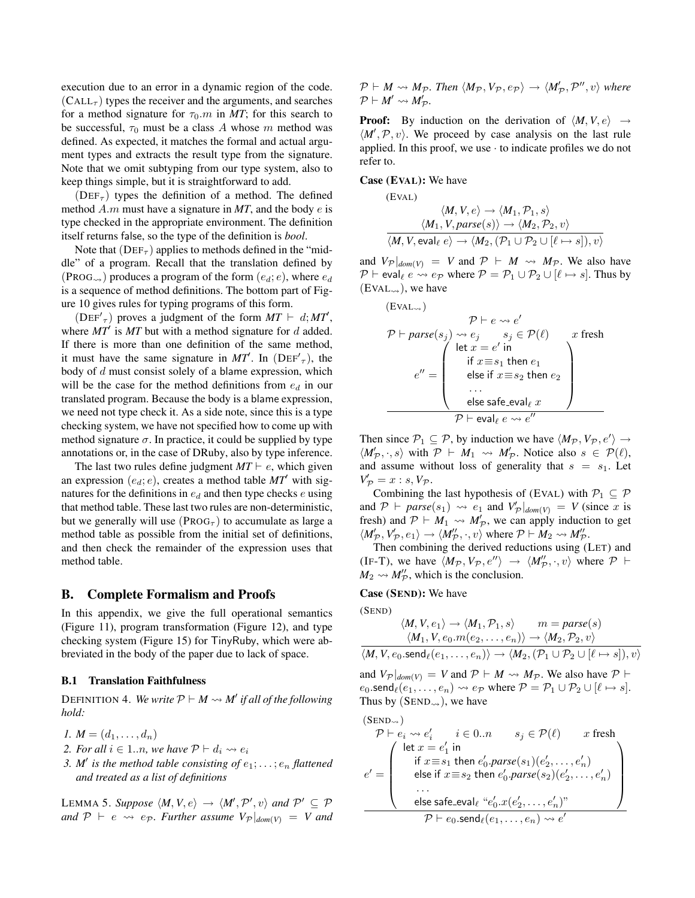execution due to an error in a dynamic region of the code.  $(CAL<sub>\tau</sub>)$  types the receiver and the arguments, and searches for a method signature for  $\tau_0$ .*m* in *MT*; for this search to be successful,  $\tau_0$  must be a class A whose m method was defined. As expected, it matches the formal and actual argument types and extracts the result type from the signature. Note that we omit subtyping from our type system, also to keep things simple, but it is straightforward to add.

 $(DEF_{\tau})$  types the definition of a method. The defined method A.m must have a signature in *MT*, and the body e is type checked in the appropriate environment. The definition itself returns false, so the type of the definition is *bool*.

Note that  $(DEF_{\tau})$  applies to methods defined in the "middle" of a program. Recall that the translation defined by  $(PROG_{\gamma})$  produces a program of the form  $(e_d; e)$ , where  $e_d$ is a sequence of method definitions. The bottom part of Figure 10 gives rules for typing programs of this form.

(DEF'<sub>T</sub>) proves a judgment of the form  $MT \vdash d; MT'$ , where  $MT'$  is  $MT$  but with a method signature for d added. If there is more than one definition of the same method, it must have the same signature in  $MT'$ . In (DEF'<sub>T</sub>), the body of d must consist solely of a blame expression, which will be the case for the method definitions from  $e_d$  in our translated program. Because the body is a blame expression, we need not type check it. As a side note, since this is a type checking system, we have not specified how to come up with method signature  $\sigma$ . In practice, it could be supplied by type annotations or, in the case of DRuby, also by type inference.

The last two rules define judgment  $MT \vdash e$ , which given an expression  $(e_d; e)$ , creates a method table  $MT'$  with signatures for the definitions in  $e_d$  and then type checks e using that method table. These last two rules are non-deterministic, but we generally will use  $(PROG_{\tau})$  to accumulate as large a method table as possible from the initial set of definitions, and then check the remainder of the expression uses that method table.

#### B. Complete Formalism and Proofs

In this appendix, we give the full operational semantics (Figure 11), program transformation (Figure 12), and type checking system (Figure 15) for TinyRuby, which were abbreviated in the body of the paper due to lack of space.

### B.1 Translation Faithfulness

DEFINITION 4. We write  $P \vdash M \leadsto M'$  if all of the following *hold:*

*1.*  $M = (d_1, \ldots, d_n)$ 

- *2. For all*  $i \in 1..n$ *, we have*  $P \vdash d_i \leadsto e_i$
- 3.  $M'$  is the method table consisting of  $e_1; \ldots; e_n$  flattened *and treated as a list of definitions*

LEMMA 5. Suppose  $\langle M, V, e \rangle \rightarrow \langle M', \mathcal{P}', v \rangle$  and  $\mathcal{P}' \subseteq \mathcal{P}$ *and*  $P \vdash e \leadsto e_{\mathcal{P}}$ *. Further assume*  $V_{\mathcal{P}}|_{dom(V)} = V$  *and*   $\mathcal{P} \vdash M \leadsto M_{\mathcal{P}}$ *. Then*  $\langle M_{\mathcal{P}} , V_{\mathcal{P}} , e_{\mathcal{P}} \rangle \rightarrow \langle M_{\mathcal{P}}', \mathcal{P}'' , v \rangle$  where  $\mathcal{P} \vdash M' \rightsquigarrow M'_{\mathcal{P}}$ .

**Proof:** By induction on the derivation of  $\langle M, V, e \rangle \rightarrow$  $\langle M', \mathcal{P}, v \rangle$ . We proceed by case analysis on the last rule applied. In this proof, we use · to indicate profiles we do not refer to.

Case (EVAL): We have

$$
\langle M, V, e \rangle \rightarrow \langle M_1, \mathcal{P}_1, s \rangle
$$
  

$$
\langle M_1, V, parse(s) \rangle \rightarrow \langle M_2, \mathcal{P}_2, v \rangle
$$
  

$$
\langle M, V, eval_{\ell} e \rangle \rightarrow \langle M_2, (\mathcal{P}_1 \cup \mathcal{P}_2 \cup [\ell \mapsto s]), v \rangle
$$

and  $V_P|_{dom(V)} = V$  and  $P \vdash M \leadsto Mp$ . We also have  $\mathcal{P} \vdash \textsf{eval}_{\ell} \; e \leadsto e_{\mathcal{P}}$  where  $\mathcal{P} = \mathcal{P}_1 \cup \mathcal{P}_2 \cup [\ell \mapsto s]$ . Thus by  $(EVAL_{\infty})$ , we have

$$
(\text{EVAL}_{\infty})
$$
\n
$$
\mathcal{P} \vdash e \leadsto e'
$$
\n
$$
\mathcal{P} \vdash parse(s_j) \leadsto e_j \qquad s_j \in \mathcal{P}(\ell) \qquad x \text{ fresh}
$$
\n
$$
e'' = \begin{pmatrix}\n\text{let } x = e' \text{ in} \\
\text{if } x \equiv s_1 \text{ then } e_1 \\
\text{else if } x \equiv s_2 \text{ then } e_2 \\
\text{else } \text{safe} \perp \text{eval}_{\ell} x\n\end{pmatrix}
$$
\n
$$
\mathcal{P} \vdash \text{eval}_{\ell} e \leadsto e''
$$

Then since  $P_1 \subseteq P$ , by induction we have  $\langle M_P, V_P, e' \rangle \rightarrow$  $\langle M'_{\mathcal{P}}, \cdot, s \rangle$  with  $\mathcal{P} \vdash M_1 \rightsquigarrow M'_{\mathcal{P}}$ . Notice also  $s \in \mathcal{P}(\ell)$ , and assume without loss of generality that  $s = s_1$ . Let  $V'_{\mathcal{P}}=x:s,V_{\mathcal{P}}$ .

Combining the last hypothesis of (EVAL) with  $P_1 \subseteq P$ and  $P \vdash parse(s_1) \leadsto e_1$  and  $V'_P|_{dom(V)} = V$  (since x is fresh) and  $P \vdash M_1 \leadsto M_P'$ , we can apply induction to get  $\langle M'_{\mathcal{P}}, V'_{\mathcal{P}}, e_1 \rangle \rightarrow \langle M''_{\mathcal{P}}, \cdot, v \rangle$  where  $\mathcal{P} \vdash M_2 \rightsquigarrow M''_{\mathcal{P}}$ .

Then combining the derived reductions using (LET) and (IF-T), we have  $\langle M_p, V_p, e'' \rangle \rightarrow \langle M''_p, \cdot, v \rangle$  where  $\mathcal{P}$   $\vdash$  $M_2 \rightsquigarrow M''_{\mathcal{P}}$ , which is the conclusion.

Case (SEND): We have

(SEND)

 $\sqrt{S}$ 

$$
\langle M, V, e_1 \rangle \rightarrow \langle M_1, \mathcal{P}_1, s \rangle \qquad m = parse(s)
$$

$$
\langle M_1, V, e_0.m(e_2, \dots, e_n) \rangle \rightarrow \langle M_2, \mathcal{P}_2, v \rangle
$$

$$
\langle M, V, e_0.\text{send}_{\ell}(e_1, \dots, e_n) \rangle \rightarrow \langle M_2, (\mathcal{P}_1 \cup \mathcal{P}_2 \cup [\ell \mapsto s]), v \rangle
$$

and  $V_{\mathcal{P}}|_{dom(V)} = V$  and  $\mathcal{P} \vdash M \leadsto M_{\mathcal{P}}$ . We also have  $\mathcal{P} \vdash$  $e_0$  send $_e(e_1, \ldots, e_n) \rightsquigarrow e_{\mathcal{P}}$  where  $\mathcal{P} = \mathcal{P}_1 \cup \mathcal{P}_2 \cup [e \mapsto s]$ . Thus by  $(SEND_{\infty})$ , we have

$$
\mathcal{P} \vdash e_i \rightsquigarrow e'_i \quad i \in 0..n \quad s_j \in \mathcal{P}(\ell) \quad x \text{ fresh}
$$
\n
$$
e' = \left( \begin{array}{ccc} \text{let } x = e'_1 \text{ in} \\ \text{if } x \equiv s_1 \text{ then } e'_0 \text{.parse}(s_1)(e'_2, \dots, e'_n) \\ \text{else if } x \equiv s_2 \text{ then } e'_0 \text{.parse}(s_2)(e'_2, \dots, e'_n) \\ \dots \\ \text{else safe\_eval}_{\ell} \text{``} e'_0 \text{..} x(e'_2, \dots, e'_n) \end{array} \right)
$$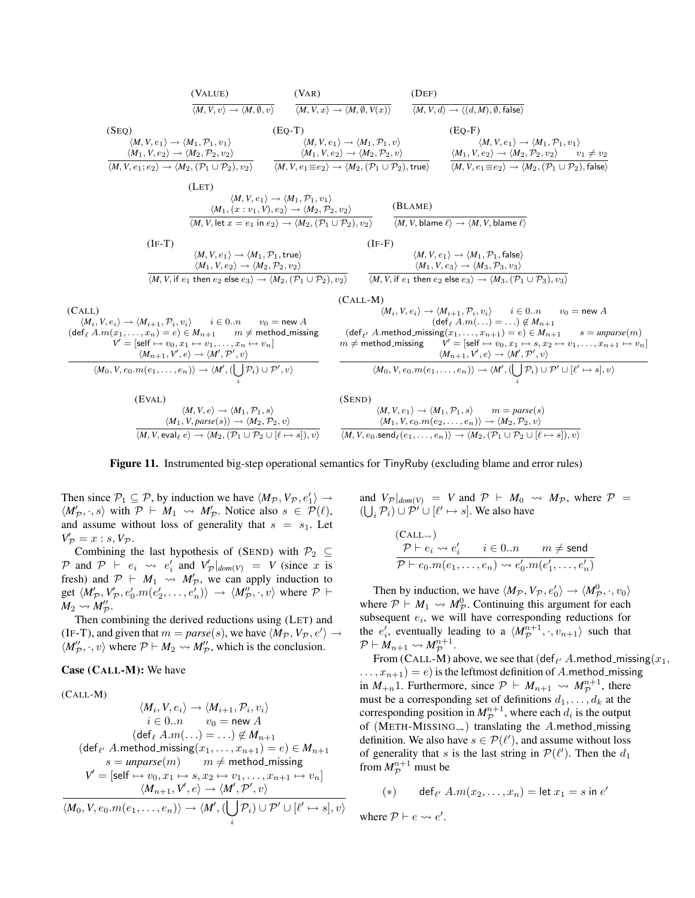$$
(VEH) \frac{dH_1V_2}{dH_1V_1e_2} \frac{dH_2V_1}{dH_1V_2e_2} \frac{dH_1V_2}{dH_1V_1e_2} \frac{dH_1V_1}{dH_1V_2e_2} \frac{dH_1V_2}{dH_1V_2e_2} \frac{dH_1V_1}{dH_1V_2e_2} \frac{dH_1V_2}{dH_1V_2e_2} \frac{dH_1V_2}{dH_1V_2e_2} \frac{dH_1V_2}{dH_1V_2e_2} \frac{dH_1V_2}{dH_1V_2e_2} \frac{dH_1V_2}{dH_1V_2e_2} \frac{dH_1V_2}{dH_1V_2e_2} \frac{dH_1V_2}{dH_1V_2e_2} \frac{dH_1V_2}{dH_1V_2e_2} \frac{dH_1V_2}{dH_1V_2e_2} \frac{dH_1V_2}{dH_1V_2e_2} \frac{dH_1V_2}{dH_1V_2e_2} \frac{dH_1V_2}{dH_1V_2e_2} \frac{dH_1V_2}{dH_1V_2e_2} \frac{dH_1V_2}{dH_1V_2e_2} \frac{dH_1V_2}{dH_1V_2e_2} \frac{dH_1V_2}{dH_1V_2e_2} \frac{dH_1V_2}{dH_1V_2e_2} \frac{dH_1V_2}{dH_1V_2e_2} \frac{dH_1V_2}{dH_1V_2e_2} \frac{dH_1V_2}{dH_1V_2e_2} \frac{dH_1V_2}{dH_1V_2e_2} \frac{dH_1V_2}{dH_1V_2e_2} \frac{dH_1V_2}{dH_1V_2e_2} \frac{dH_1V_2}{dH_1V_2e_2} \frac{dH_1V_2}{dH_1V_2e_2} \frac{dH_1V_2}{dH_1V_2e_2} \frac{dH_1V_2}{dH_1V_2e_2} \frac{dH_1V_2}{dH_1V_2e_2} \frac{dH_1V
$$

Figure 11. Instrumented big-step operational semantics for TinyRuby (excluding blame and error rules)

Then since  $P_1 \subseteq P$ , by induction we have  $\langle M_P, V_P, e'_1 \rangle \rightarrow$  $\langle M'_{\mathcal{P}}, \cdot, s \rangle$  with  $\mathcal{P} \vdash M_1 \rightsquigarrow M'_{\mathcal{P}}$ . Notice also  $s \in \mathcal{P}(\ell)$ , and assume without loss of generality that  $s = s_1$ . Let  $V'_{\mathcal{P}}=x:s,V_{\mathcal{P}}$ .

Combining the last hypothesis of (SEND) with  $\mathcal{P}_2 \subseteq$  $\mathcal{P}$  and  $\mathcal{P} \vdash e_i \leadsto e'_i$  and  $V'_{\mathcal{P}}|_{dom(V)} = V$  (since x is fresh) and  $P \vdash M_1 \leadsto M'_p$ , we can apply induction to get  $\langle M'_{\mathcal{P}}, V'_{\mathcal{P}}, e'_0.m(e'_2, \ldots, e'_n) \rangle \rightarrow \langle M''_{\mathcal{P}}, \cdot, v \rangle$  where  $\mathcal{P} \vdash$  $M_2 \rightsquigarrow M''_{\mathcal{P}}$  .

Then combining the derived reductions using (LET) and (IF-T), and given that  $m = parse(s)$ , we have  $\langle M_{\mathcal{P}}, V_{\mathcal{P}}, e' \rangle \rightarrow$  $\langle M''_{\mathcal{P}}, \cdot, v \rangle$  where  $\mathcal{P} \vdash M_2 \leadsto M''_{\mathcal{P}}$ , which is the conclusion.

#### Case (CALL-M): We have

 $(C,$ 

$$
\langle M_i, V, e_i \rangle \rightarrow \langle M_{i+1}, P_i, v_i \rangle
$$
  
\n
$$
i \in 0..n \qquad v_0 = \text{new } A
$$
  
\n
$$
(\text{def}_{\ell} A.m(...) = ...) \notin M_{n+1}
$$
  
\n
$$
(\text{def}_{\ell'} A.\text{method\_missing}(x_1, ..., x_{n+1}) = e) \in M_{n+1}
$$
  
\n
$$
s = \text{unparse}(m) \qquad m \neq \text{method\_missing}
$$
  
\n
$$
V' = [\text{self } \mapsto v_0, x_1 \mapsto s, x_2 \mapsto v_1, ..., x_{n+1} \mapsto v_n]
$$
  
\n
$$
\langle M_{n+1}, V', e \rangle \rightarrow \langle M', \mathcal{P}', v \rangle
$$
  
\n
$$
\langle M_0, V, e_0.m(e_1, ..., e_n) \rangle \rightarrow \langle M', (\bigcup_i \mathcal{P}_i) \cup \mathcal{P}' \cup [\ell' \mapsto s], v \rangle
$$

and  $V_P|_{dom(V)} = V$  and  $P \vdash M_0 \leadsto M_P$ , where  $P =$  $(\bigcup_i \mathcal{P}_i) \cup \mathcal{P}' \cup [\ell' \mapsto s]$ . We also have

$$
\begin{array}{ll} \text{(CALL}_{\leadsto}) & \text{if } i \in 0..n \quad m \neq \text{send} \\ \hline \mathcal{P} \vdash e_i \leadsto e_i' & i \in 0..n \quad m \neq \text{send} \\ \hline \mathcal{P} \vdash e_0.m(e_1, \ldots, e_n) \leadsto e_0'.m(e_1', \ldots, e_n') \end{array}
$$

Then by induction, we have  $\langle M_P, V_P, e'_0 \rangle \rightarrow \langle M_P^0, \cdot, v_0 \rangle$ where  $P \vdash M_1 \leadsto M_P^0$ . Continuing this argument for each subsequent  $e_i$ , we will have corresponding reductions for the  $e'_i$ , eventually leading to a  $\langle M_p^{n+1}, \cdot, v_{n+1} \rangle$  such that  $\mathcal{P} \vdash M_{n+1} \leadsto M_{\mathcal{P}}^{n+1}.$ 

From (CALL-M) above, we see that (def<sub>l</sub> A.method\_missing( $x_1$ ,  $\dots, x_{n+1}$  = e) is the leftmost definition of A.method\_missing in  $M_{+n}$ 1. Furthermore, since  $P \vdash M_{n+1} \leadsto M_{\mathcal{P}}^{n+1}$ , there must be a corresponding set of definitions  $d_1, \ldots, d_k$  at the corresponding position in  $M_{\mathcal{P}}^{n+1}$ , where each  $d_i$  is the output of (METH-MISSING $_{\leadsto}$ ) translating the A.method\_missing definition. We also have  $s \in \mathcal{P}(\ell')$ , and assume without loss of generality that s is the last string in  $\mathcal{P}(\ell')$ . Then the  $d_1$ from  $M_{\mathcal{P}}^{n+1}$  must be

(\*) 
$$
\det_{\ell'} A.m(x_2, \ldots, x_n) = \det x_1 = s \text{ in } e'
$$

where  $P \vdash e \leadsto e'$ .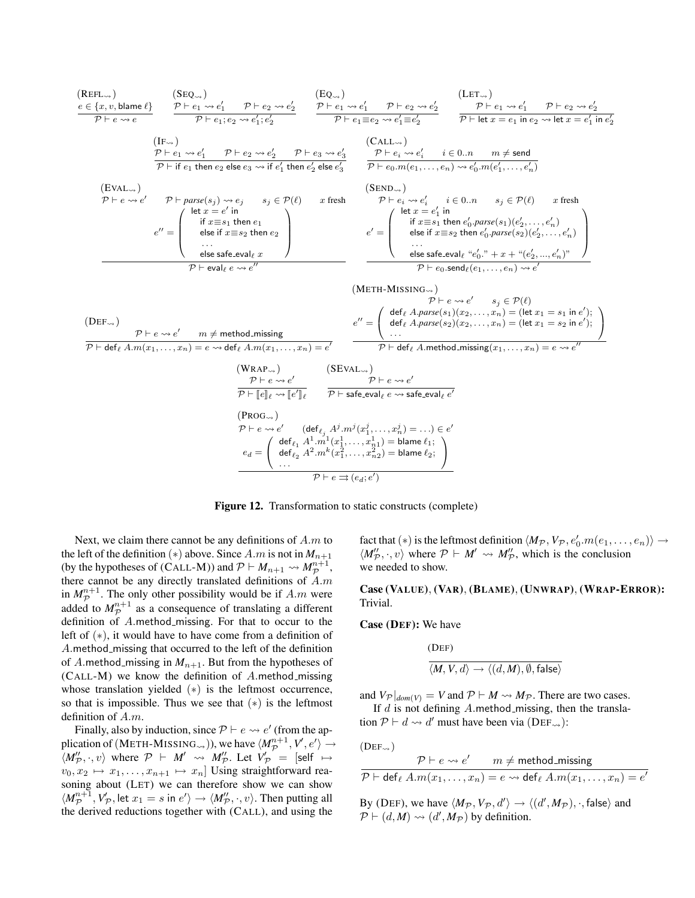(REFL<sub>∞</sub>)  
\n
$$
\frac{e\in\{x,v,\text{blame }\ell\}}{p+e\rightsquigarrow e}
$$
\n
$$
\frac{p+e_1 \rightsquigarrow e'_1}{p+e_1 \rightsquigarrow e'_1} \frac{p+e_2 \rightsquigarrow e'_2}{p+e_1 \underbrace{e'_2 \rightsquigarrow e'_1} \frac{p+e_1 \rightsquigarrow e'_1}{p+e_1 \underbrace{e'_2 \rightsquigarrow e'_2}} \frac{p+e_1 \rightsquigarrow e'_1}{p+e_1 \underbrace{e'_2 \rightsquigarrow e'_1} \frac{p+e_1 \rightsquigarrow e'_2}{p+e_1 \underbrace{e'_2 \rightsquigarrow e'_1} \frac{p+e_1 \rightsquigarrow e'_2}{p+e_1 \underbrace{e'_2 \rightsquigarrow e'_2}} \frac{p+e_1 \rightsquigarrow e'_2}{p+e_1 \underbrace{e'_1 \rightsquigarrow e'_2} \frac{p+e_2 \rightsquigarrow e'_2}{p+e_1 \underbrace{e'_1 \rightsquigarrow e'_2} \frac{p+e_1 \rightsquigarrow e'_2}{p+e_1 \underbrace{e'_1 \rightsquigarrow e'_2} \frac{p+e_1 \rightsquigarrow e'_2}{p+e_1 \underbrace{e'_1 \rightsquigarrow e'_2} \frac{p+e_1 \rightsquigarrow e'_2}{p+e_1 \underbrace{e'_1 \rightsquigarrow e'_2} \frac{p+e_1 \rightsquigarrow e'_2}{p+e_1 \underbrace{e'_1 \shortquigarrow e'_2} \frac{p+e_1 \rightsquigarrow e'_2}{p+e_1 \underbrace{e'_1 \shortquigarrow e'_2} \frac{p+e_1 \rightsquigarrow e'_2}{p+e_1 \underbrace{e'_1 \shortquigarrow e'_2} \frac{p+e_1 \rightsquigarrow e'_2}{p+e_1 \underbrace{e'_1 \shortquigarrow e'_2} \frac{p+e_1 \rightsquigarrow e'_2}{p+e_1 \underbrace{e'_1 \shortquigarrow e'_2} \frac{p+e_1 \rightsquigarrow e'_2}{p+e_1 \underbrace{e'_1 \shortquigarrow e'_2} \frac{p+e_1 \rightsquigarrow e'_2}{p+e_1 \underbrace{e'_1 \shortquigarrow e'_2} \frac{p+e_1 \rightsquigarrow e'_2}{p+e_1 \underbrace{e'_1
$$

Figure 12. Transformation to static constructs (complete)

Next, we claim there cannot be any definitions of  $A.m$  to the left of the definition (\*) above. Since  $A.m$  is not in  $M_{n+1}$ (by the hypotheses of (CALL-M)) and  $P \vdash M_{n+1} \leadsto M_{\mathcal{P}}^{n+1}$ , there cannot be any directly translated definitions of  $A.m$ in  $M_P^{n+1}$ . The only other possibility would be if  $A.m$  were added to  $M_{\mathcal{P}}^{n+1}$  as a consequence of translating a different definition of  $A$ .method\_missing. For that to occur to the left of (∗), it would have to have come from a definition of A.method\_missing that occurred to the left of the definition of A.method\_missing in  $M_{n+1}$ . But from the hypotheses of  $(CALL-M)$  we know the definition of A.method\_missing whose translation yielded (∗) is the leftmost occurrence, so that is impossible. Thus we see that (∗) is the leftmost definition of A.m.

Finally, also by induction, since  $P \vdash e \leadsto e'$  (from the application of (METH-MISSING $\rightarrow$ )), we have  $\langle M_{\mathcal{P}}^{n+1}, V', e' \rangle \rightarrow$  $\langle M''_{\mathcal{P}}, \cdot, v \rangle$  where  $\mathcal{P}$   $\vdash$   $M' \rightsquigarrow M''_{\mathcal{P}}$ . Let  $V'_{\mathcal{P}}$  = [self  $\mapsto$  $v_0, x_2 \mapsto x_1, \ldots, x_{n+1} \mapsto x_n$ ] Using straightforward reasoning about (LET) we can therefore show we can show  $\langle M_{\mathcal{P}}^{n+1}, V_{\mathcal{P}}', \text{let } x_1 = s \text{ in } e' \rangle \rightarrow \langle M_{\mathcal{P}}'', \cdot, v \rangle.$  Then putting all the derived reductions together with (CALL), and using the

fact that  $(*)$  is the leftmost definition  $\langle M_{\mathcal{P}}, V_{\mathcal{P}}, e'_0.m(e_1, \ldots, e_n) \rangle \rightarrow$  $\langle M''_{\mathcal{P}}, \cdot, v \rangle$  where  $\mathcal{P} \vdash M' \leadsto M''_{\mathcal{P}}$ , which is the conclusion we needed to show.

## Case (VALUE), (VAR), (BLAME), (UNWRAP), (WRAP-ERROR): Trivial.

Case (DEF): We have

$$
\frac{\text{(DEF)}}{\langle M, V, d \rangle \longrightarrow \langle (d, M), \emptyset, \text{false} \rangle}
$$

and  $V_P|_{dom(V)} = V$  and  $P \vdash M \leadsto M_P$ . There are two cases. If  $d$  is not defining A.method missing, then the transla-

tion  $P \vdash d \leadsto d'$  must have been via (DEF<sub> $\leadsto$ </sub>):

$$
\text{(DEF}_{\rightsquigarrow)}
$$
\n
$$
\mathcal{P} \vdash e \rightsquigarrow e' \qquad m \neq \text{method\_missing}
$$
\n
$$
\mathcal{P} \vdash \text{def}_{\ell} A.m(x_1, \dots, x_n) = e \rightsquigarrow \text{def}_{\ell} A.m(x_1, \dots, x_n) = e'
$$

By (DEF), we have  $\langle M_P, V_P, d' \rangle \rightarrow \langle (d', M_P), \cdot, \text{false} \rangle$  and  $\mathcal{P} \vdash (d, M) \leadsto (d', M_{\mathcal{P}})$  by definition.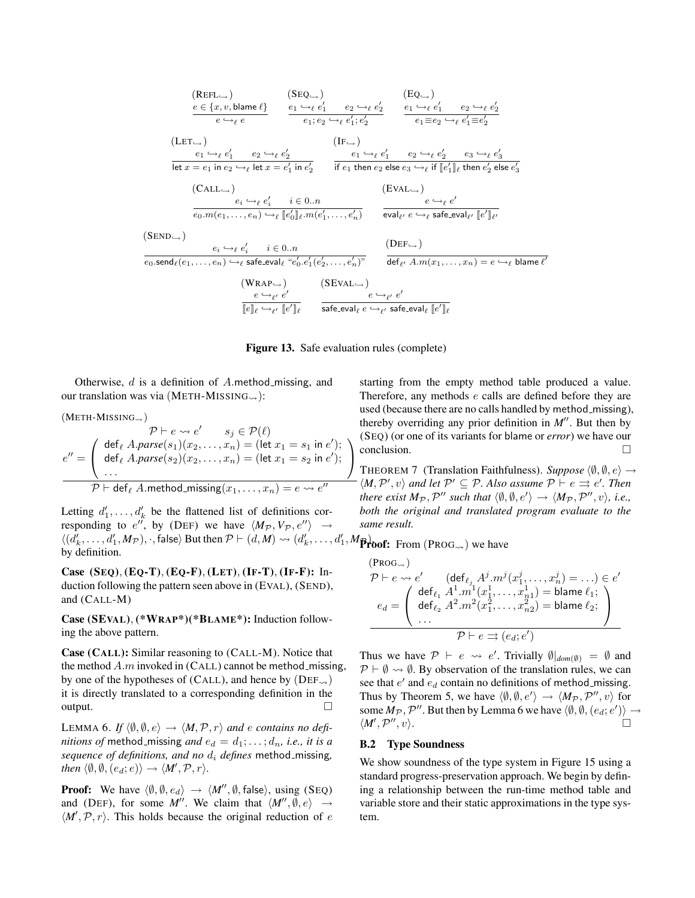(REFL,<sup>→</sup>) e ∈ {x, v, blame `} e ,→` e (SEQ,<sup>→</sup>) e<sup>1</sup> ,→` e 0 1 e<sup>2</sup> ,→` e 0 2 e1; e<sup>2</sup> ,→` e 0 1 ; e 0 2 (EQ,<sup>→</sup>) e<sup>1</sup> ,→` e 0 1 e<sup>2</sup> ,→` e 0 2 e1≡e<sup>2</sup> ,→` e 0 <sup>1</sup>≡e 0 2 (LET,<sup>→</sup>) e<sup>1</sup> ,→` e 0 1 e<sup>2</sup> ,→` e 0 2 let x = e<sup>1</sup> in e<sup>2</sup> ,→` let x = e 0 1 in e 0 2 (IF,<sup>→</sup>) e<sup>1</sup> ,→` e 0 1 e<sup>2</sup> ,→` e 0 2 e<sup>3</sup> ,→` e 0 3 if <sup>e</sup><sup>1</sup> then <sup>e</sup><sup>2</sup> else <sup>e</sup><sup>3</sup> ,→` if <sup>J</sup><sup>e</sup> 0 1 <sup>K</sup>` then <sup>e</sup> 0 2 else e 0 3 (CALL,<sup>→</sup>) e<sup>i</sup> ,→` e 0 i i ∈ 0..n <sup>e</sup>0.m(e1, . . . , en) ,→` <sup>J</sup><sup>e</sup> 0 0 <sup>K</sup>`.m(<sup>e</sup> 0 1 , . . . , e<sup>0</sup> n) (EVAL,<sup>→</sup>) e ,→` e 0 eval` <sup>0</sup> e ,→` safe eval` 0 Je 0 K` 0 (SEND,<sup>→</sup>) e<sup>i</sup> ,→` e 0 i i ∈ 0..n e0.send`(e1, . . . , en) ,→` safe eval` "e 0 0 .e0 1 (e 0 2 , . . . , e<sup>0</sup> <sup>n</sup>)" (DEF,<sup>→</sup>) def` <sup>0</sup> A.m(x1, . . . , xn) = e ,→` blame ` 0 (WRAP,<sup>→</sup>) e ,→` <sup>0</sup> e 0 <sup>J</sup>eK` ,→` 0 Je 0 K` (SEVAL,<sup>→</sup>) e ,→` <sup>0</sup> e 0 safe eval` e ,→` <sup>0</sup> safe eval` <sup>J</sup><sup>e</sup> 0 K`

Figure 13. Safe evaluation rules (complete)

Otherwise,  $d$  is a definition of A.method missing, and our translation was via (METH-MISSING...):

 $(METH-MISSING<sub>\rightarrow</sub>)$ 

$$
\mathcal{P} \vdash e \leadsto e' \qquad s_j \in \mathcal{P}(\ell)
$$
\n
$$
e'' = \left( \begin{array}{cc} \det_{\ell} A.\text{parse}(s_1)(x_2, \dots, x_n) = (\text{let } x_1 = s_1 \text{ in } e'); \\ \det_{\ell} A.\text{parse}(s_2)(x_2, \dots, x_n) = (\text{let } x_1 = s_2 \text{ in } e'); \\ \dots \\ \mathcal{P} \vdash \text{def}_{\ell} A.\text{method\_missing}(x_1, \dots, x_n) = e \leadsto e'' \end{array} \right)
$$

Letting  $d'_1, \ldots, d'_k$  be the flattened list of definitions cor-Letting  $u_1, \ldots, u_k$  be the national ist of definitions corresponding to  $e''$ , by (DEF) we have  $\langle M_P, V_P, e'' \rangle \rightarrow$  $\langle (d'_k, \ldots, d'_1, M_{\mathcal{P}}), \cdot, \textsf{false} \rangle$  But then  $\mathcal{P} \vdash (d, M) \leadsto (d'_k, \ldots, d'_1, M_{\bigoplus})$ by definition.

Case (SEQ), (EQ-T), (EQ-F), (LET), (IF-T), (IF-F): Induction following the pattern seen above in (EVAL), (SEND), and (CALL-M)

Case (SEVAL), (\*WRAP\*)(\*BLAME\*): Induction following the above pattern.

Case (CALL): Similar reasoning to (CALL-M). Notice that the method  $A.m$  invoked in (CALL) cannot be method\_missing, by one of the hypotheses of (CALL), and hence by (DEF $_{\textrm{ex}}$ ) it is directly translated to a corresponding definition in the  $\Box$ 

LEMMA 6. If  $\langle \emptyset, \emptyset, e \rangle \rightarrow \langle M, \mathcal{P}, r \rangle$  and e contains no defi*nitions of* method\_missing *and*  $e_d = d_1; \ldots; d_n$ , *i.e., it is a sequence of definitions, and no* d<sup>i</sup> *defines* method missing*, then*  $\langle \emptyset, \emptyset, (e_d; e) \rangle \rightarrow \langle M', \mathcal{P}, r \rangle$ *.* 

**Proof:** We have  $\langle \emptyset, \emptyset, e_d \rangle \rightarrow \langle M'', \emptyset, \text{false} \rangle$ , using (SEQ) and (DEF), for some M''. We claim that  $\langle M'', \emptyset, e \rangle \rightarrow$  $\langle M', \mathcal{P}, r \rangle$ . This holds because the original reduction of e

starting from the empty method table produced a value. Therefore, any methods e calls are defined before they are used (because there are no calls handled by method\_missing), thereby overriding any prior definition in  $M''$ . But then by (SEQ) (or one of its variants for blame or *error*) we have our conclusion.

THEOREM 7 (Translation Faithfulness). *Suppose*  $\langle \emptyset, \emptyset, e \rangle \rightarrow$  $\langle M, \mathcal{P}', v \rangle$  and let  $\mathcal{P}' \subseteq \mathcal{P}$ . Also assume  $\mathcal{P} \vdash e \rightrightarrows e'$ . Then *there exist*  $M_p$ ,  $\mathcal{P}''$  such that  $\langle \emptyset, \emptyset, e' \rangle \rightarrow \langle M_p, \mathcal{P}'', v \rangle$ , i.e., *both the original and translated program evaluate to the same result.*

**Proof:** From (Prog<sub> $\rightsquigarrow$ </sub>) we have

$$
\mathcal{P} \vdash e \leadsto e' \quad (\text{def}_{\ell_j} A^j.m^j(x_1^j, \ldots, x_n^j) = \ldots) \in e'
$$
\n
$$
e_d = \left( \begin{array}{c} \text{def}_{\ell_1} A^1.m^1(x_1^1, \ldots, x_n^1) = \text{blame } \ell_1; \\ \text{def}_{\ell_2} A^2.m^2(x_1^2, \ldots, x_{n2}^2) = \text{blame } \ell_2; \\ \ldots \end{array} \right)
$$
\n
$$
\mathcal{P} \vdash e \rightrightarrows (e_d; e')
$$

Thus we have  $\mathcal{P} \vdash e \leadsto e'$ . Trivially  $\emptyset|_{\text{dom}(\emptyset)} = \emptyset$  and  $\mathcal{P} \vdash \emptyset \leadsto \emptyset$ . By observation of the translation rules, we can see that  $e'$  and  $e_d$  contain no definitions of method\_missing. Thus by Theorem 5, we have  $\langle \emptyset, \emptyset, e' \rangle \rightarrow \langle M_{\mathcal{P}}, \mathcal{P}'', v \rangle$  for some  $M_{\mathcal{P}}, \mathcal{P}''$ . But then by Lemma 6 we have  $\langle \emptyset, \emptyset, (e_d; e') \rangle \rightarrow$  $\langle M', \mathcal{P}$  $\langle v, v \rangle$ .

#### B.2 Type Soundness

We show soundness of the type system in Figure 15 using a standard progress-preservation approach. We begin by defining a relationship between the run-time method table and variable store and their static approximations in the type system.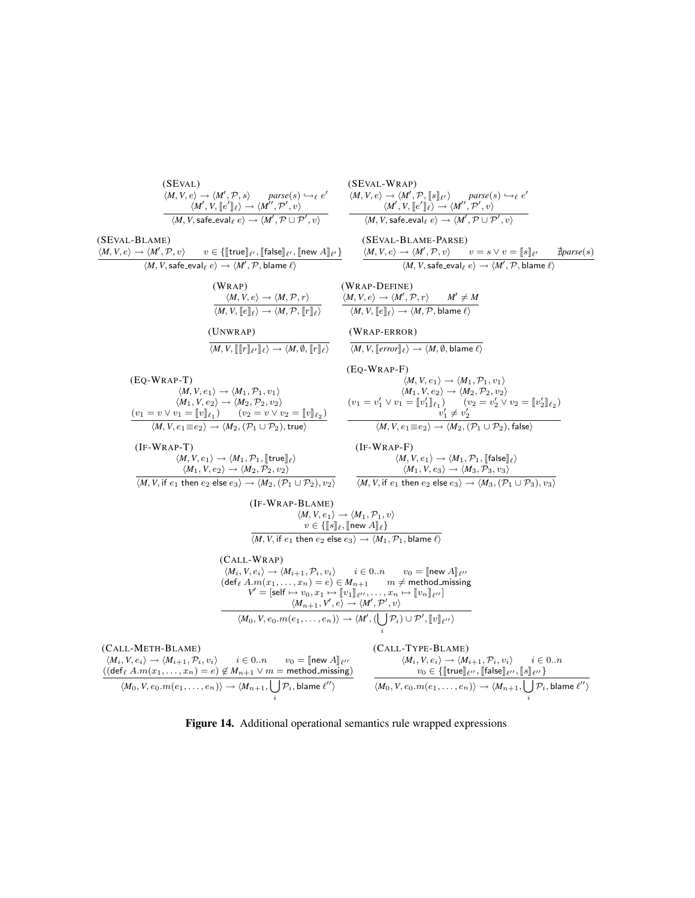(SEVAL)  
\n
$$
\langle M, V, e \rangle \rightarrow \langle M', P, s \rangle \nvert p \rightarrow \langle W, P, W \rangle \rightarrow \langle W, P, [s]_{t'} \rangle \rightarrow \langle W', P, [s]_{t'} \rangle \rightarrow \langle W', P, [s]_{t'} \rangle \rightarrow \langle W', P, [s]_{t'} \rangle \rightarrow \langle W', P, [s]_{t'} \rangle \rightarrow \langle W', P, \psi \rangle \rightarrow \langle W, P, \psi \rangle \rightarrow \langle W, P, \psi \rangle \rightarrow \langle W, P, \psi \rangle \rightarrow \langle W, P, \psi \rangle \rightarrow \langle W, P, \psi \rangle \rightarrow \langle W, P, \psi \rangle \rightarrow \langle W, P, \psi \rangle \rightarrow \langle W, P, \psi \rangle \rightarrow \langle W, P, \psi \rangle \rightarrow \langle W, P, \psi \rangle \rightarrow \langle W, P, \psi \rangle \rightarrow \langle W, P, \psi \rangle \rightarrow \langle W, P, \psi \rangle \rightarrow \langle W, P, \psi \rangle \rightarrow \langle W, P, \psi \rangle \rightarrow \langle W, P, \psi \rangle \rightarrow \langle W, P, \psi \rangle \rightarrow \langle W, P, \psi \rangle \rightarrow \langle W, P, \psi \rangle \rightarrow \langle W, P, \psi \rangle \rightarrow \langle W, P, \psi \rangle \rightarrow \langle W, P, \psi \rangle \rightarrow \langle W, P, \psi \rangle \rightarrow \langle W, P, \psi \rangle \rightarrow \langle W, P, \psi \rangle \rightarrow \langle W, P, \psi \rangle \rightarrow \langle W, P, \psi \rangle \rightarrow \langle W, P, \psi \rangle \rightarrow \langle W, P, \psi \rangle \rightarrow \langle W, P, \psi \rangle \rightarrow \langle W, P, \psi \rangle \rightarrow \langle W, P, \psi \rangle \rightarrow \langle W, P, \psi \rangle \rightarrow \langle W, P, \psi \rangle \rightarrow \langle W, P, \psi \rangle \rightarrow \langle W, P, \psi \rangle \rightarrow \langle W, P, \psi \rangle \rightarrow \langle W, P, \psi \rangle \rightarrow \langle W, P, \psi \rangle \rightarrow \langle W, P, \psi \rangle \rightarrow \langle W, P, \psi \rangle \rightarrow \langle W, P, \psi \rangle \rightarrow \langle W, P, \psi \rangle \rightarrow \langle W, P, \psi \rangle \rightarrow \langle W, P, \psi \rangle \rightarrow \langle W, P, \psi \rangle \rightarrow \langle W, P, \psi \rangle \rightarrow \langle W, P, \psi \rangle \rightarrow \langle W, P, \psi \rangle \rightarrow \langle W, P, \psi \rangle \rightarrow \langle W, P, \psi \rangle \rightarrow \langle W, P, \psi \rangle
$$

Figure 14. Additional operational semantics rule wrapped expressions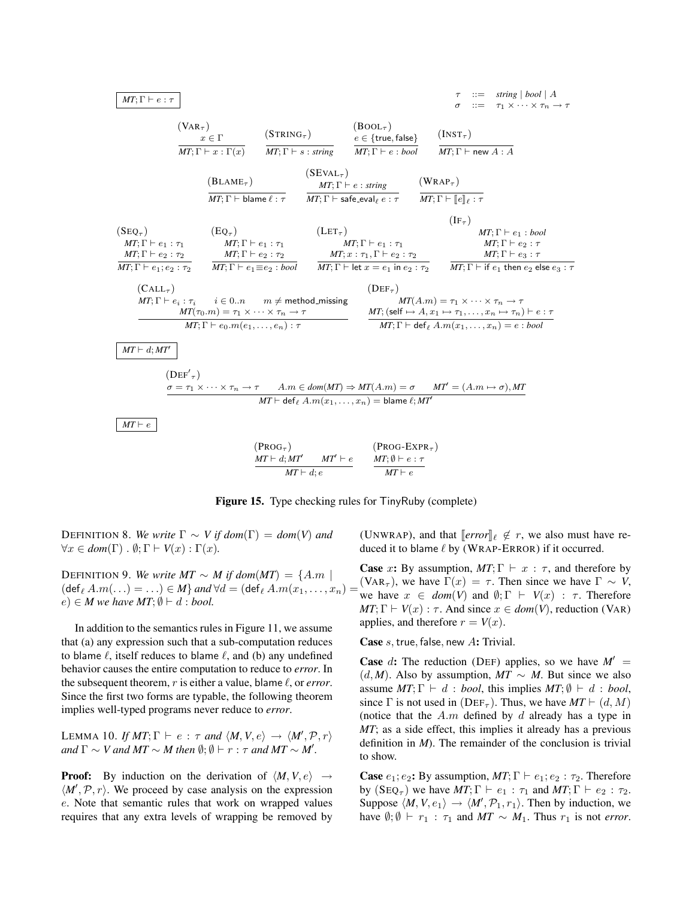

Figure 15. Type checking rules for TinyRuby (complete)

DEFINITION 8. *We write*  $\Gamma \sim V$  *if dom*( $\Gamma$ ) = *dom*( $V$ ) *and*  $\forall x \in dom(\Gamma) \cdot \emptyset; \Gamma \vdash V(x) : \Gamma(x)$ .

DEFINITION 9. We write  $MT \sim M$  if  $dom(MT) = \{A.m \mid$  $(\text{def}_{\ell} A.m(\ldots) = \ldots) \in M$  *and*  $\forall d = (\text{def}_{\ell} A.m(x_1, \ldots, x_n) =$  $e) \in M$  we have  $MT; \emptyset \vdash d : bool.$ 

In addition to the semantics rules in Figure 11, we assume that (a) any expression such that a sub-computation reduces to blame  $\ell$ , itself reduces to blame  $\ell$ , and (b) any undefined behavior causes the entire computation to reduce to *error*. In the subsequent theorem,  $r$  is either a value, blame  $\ell$ , or *error*. Since the first two forms are typable, the following theorem implies well-typed programs never reduce to *error*.

LEMMA 10. *If MT*;  $\Gamma \vdash e : \tau$  *and*  $\langle M, V, e \rangle \rightarrow \langle M', \mathcal{P}, r \rangle$  $\mathcal{A}$  *and*  $\Gamma \sim V$  *and*  $MT \sim M$  *then*  $\emptyset$ ;  $\emptyset \vdash r : \tau$  *and*  $MT \sim M'$ *.* 

**Proof:** By induction on the derivation of  $\langle M, V, e \rangle \rightarrow$  $\langle M', \mathcal{P}, r \rangle$ . We proceed by case analysis on the expression e. Note that semantic rules that work on wrapped values requires that any extra levels of wrapping be removed by (UNWRAP), and that  $\llbracket error \rrbracket_{\ell} \notin r$ , we also must have reduced it to blame  $\ell$  by (WRAP-ERROR) if it occurred.

**Case** x: By assumption,  $MT$ ;  $\Gamma \vdash x : \tau$ , and therefore by (VAR<sub>τ</sub>), we have  $\Gamma(x) = \tau$ . Then since we have  $\Gamma \sim V$ , we have  $x \in dom(V)$  and  $\emptyset; \Gamma \vdash V(x) : \tau$ . Therefore  $MT; \Gamma \vdash V(x) : \tau$ . And since  $x \in dom(V)$ , reduction (VAR) applies, and therefore  $r = V(x)$ .

Case s, true, false, new A: Trivial.

**Case** d: The reduction (DEF) applies, so we have  $M' =$  $(d, M)$ . Also by assumption,  $MT \sim M$ . But since we also assume  $MT; \Gamma \vdash d : bool$ , this implies  $MT; \emptyset \vdash d : bool$ , since  $\Gamma$  is not used in (DEF<sub>T</sub>). Thus, we have  $MT \vdash (d, M)$ (notice that the  $A.m$  defined by  $d$  already has a type in *MT*; as a side effect, this implies it already has a previous definition in *M*). The remainder of the conclusion is trivial to show.

**Case**  $e_1$ ;  $e_2$ : By assumption,  $MT$ ;  $\Gamma \vdash e_1$ ;  $e_2 : \tau_2$ . Therefore by  $(SEQ_{\tau})$  we have  $MT; \Gamma \vdash e_1 : \tau_1$  and  $MT; \Gamma \vdash e_2 : \tau_2$ . Suppose  $\langle M, V, e_1 \rangle \rightarrow \langle M', P_1, r_1 \rangle$ . Then by induction, we have  $\emptyset$ ;  $\emptyset \vdash r_1 : \tau_1$  and  $MT \sim M_1$ . Thus  $r_1$  is not *error*.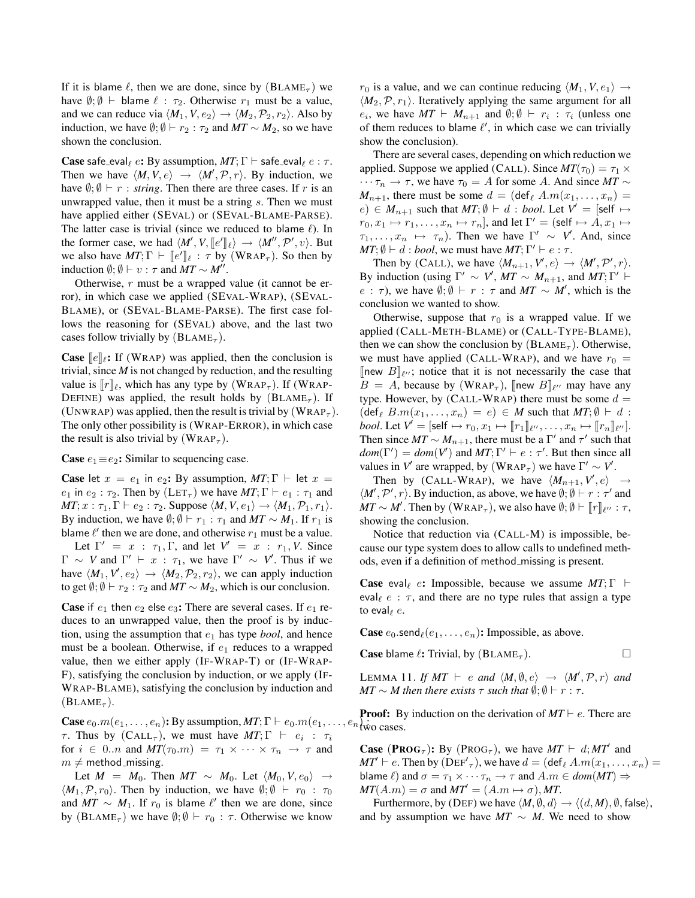If it is blame  $\ell$ , then we are done, since by (BLAME<sub>T</sub>) we have  $\emptyset$ ;  $\emptyset$   $\vdash$  blame  $\ell$  :  $\tau_2$ . Otherwise  $r_1$  must be a value, and we can reduce via  $\langle M_1, V, e_2 \rangle \rightarrow \langle M_2, \mathcal{P}_2, r_2 \rangle$ . Also by induction, we have  $\emptyset$ ;  $\emptyset \vdash r_2 : \tau_2$  and  $MT \sim M_2$ , so we have shown the conclusion.

**Case** safe\_eval<sub> $\ell$ </sub> e: By assumption,  $MT$ ; Γ  $\vdash$  safe\_eval $_{\ell}$  e :  $\tau$ . Then we have  $\langle M, V, e \rangle \rightarrow \langle M', \mathcal{P}, r \rangle$ . By induction, we have  $\emptyset$ ;  $\emptyset \vdash r$  : *string*. Then there are three cases. If r is an unwrapped value, then it must be a string s. Then we must have applied either (SEVAL) or (SEVAL-BLAME-PARSE). The latter case is trivial (since we reduced to blame  $\ell$ ). In the former case, we had  $\langle M', V, [e']|_{\ell} \rangle \rightarrow \langle M'', P', v \rangle$ . But we also have  $MT$ ;  $\Gamma \vdash [\![e']\!]_\ell : \tau$  by (WRAP<sub>T</sub>). So then by induction  $\emptyset$ :  $\emptyset \vdash e$  :  $\tau$  and  $MT \in M''$ induction  $\emptyset$ ;  $\emptyset \vdash v : \tau$  and  $MT \sim M''$ .

Otherwise,  $r$  must be a wrapped value (it cannot be error), in which case we applied (SEVAL-WRAP), (SEVAL-BLAME), or (SEVAL-BLAME-PARSE). The first case follows the reasoning for (SEVAL) above, and the last two cases follow trivially by  $(BLAME_\tau)$ .

**Case**  $\llbracket e \rrbracket_{\ell}$ : If (WRAP) was applied, then the conclusion is trivial, since *M* is not changed by reduction, and the resulting value is  $\llbracket r \rrbracket_{\ell}$ , which has any type by (WRAP<sub> $\tau$ </sub>). If (WRAP-DEFINE) was applied, the result holds by  $(BLAME_\tau)$ . If (UNWRAP) was applied, then the result is trivial by  $(WRAP_{\tau})$ . The only other possibility is (WRAP-ERROR), in which case the result is also trivial by  $(WRAP_{\tau})$ .

**Case**  $e_1 \equiv e_2$ : Similar to sequencing case.

**Case** let  $x = e_1$  in  $e_2$ : By assumption,  $MT$ ;  $\Gamma \vdash$  let  $x =$  $e_1$  in  $e_2 : \tau_2$ . Then by (LET<sub> $\tau$ </sub>) we have  $MT; \Gamma \vdash e_1 : \tau_1$  and  $MT; x : \tau_1, \Gamma \vdash e_2 : \tau_2$ . Suppose  $\langle M, V, e_1 \rangle \rightarrow \langle M_1, \mathcal{P}_1, r_1 \rangle$ . By induction, we have  $\emptyset$ ;  $\emptyset \vdash r_1 : \tau_1$  and  $MT \sim M_1$ . If  $r_1$  is blame  $\ell'$  then we are done, and otherwise  $r_1$  must be a value.

Let  $\Gamma' = x : \tau_1, \Gamma$ , and let  $V' = x : r_1, V$ . Since  $\Gamma \sim V$  and  $\Gamma' \vdash x : \tau_1$ , we have  $\Gamma' \sim V'$ . Thus if we have  $\langle M_1, V', e_2 \rangle \rightarrow \langle M_2, \mathcal{P}_2, r_2 \rangle$ , we can apply induction to get  $\emptyset$ ;  $\emptyset \vdash r_2 : \tau_2$  and  $MT \sim M_2$ , which is our conclusion.

**Case** if  $e_1$  then  $e_2$  else  $e_3$ : There are several cases. If  $e_1$  reduces to an unwrapped value, then the proof is by induction, using the assumption that  $e_1$  has type *bool*, and hence must be a boolean. Otherwise, if  $e_1$  reduces to a wrapped value, then we either apply (IF-WRAP-T) or (IF-WRAP-F), satisfying the conclusion by induction, or we apply (IF-WRAP-BLAME), satisfying the conclusion by induction and  $(BLAME_\tau)$ .

**Case**  $e_0$ .  $m(e_1, \ldots, e_n)$ : By assumption,  $MT$ ;  $\Gamma \vdash e_0$ .  $m(e_1, \ldots, e_n)$ ; wo cases.  $\tau$ . Thus by (CALL<sub> $\tau$ </sub>), we must have  $MT; \Gamma \vdash e_i : \tau_i$ for  $i \in 0..n$  and  $MT(\tau_0.m) = \tau_1 \times \cdots \times \tau_n \to \tau$  and  $m \neq$  method missing.

Let *M* = *M*<sub>0</sub>. Then *MT* ∼ *M*<sub>0</sub>. Let  $\langle M_0, V, e_0 \rangle$  →  $\langle M_1, \mathcal{P}, r_0 \rangle$ . Then by induction, we have  $\emptyset; \emptyset \vdash r_0 : \tau_0$ and  $MT \sim M_1$ . If  $r_0$  is blame  $\ell'$  then we are done, since by (BLAME<sub> $\tau$ </sub>) we have  $\emptyset$ ;  $\emptyset \vdash r_0 : \tau$ . Otherwise we know

 $r_0$  is a value, and we can continue reducing  $\langle M_1, V, e_1 \rangle \rightarrow$  $\langle M_2, \mathcal{P}, r_1 \rangle$ . Iteratively applying the same argument for all  $e_i$ , we have  $MT \vdash M_{n+1}$  and  $\emptyset; \emptyset \vdash r_i : \tau_i$  (unless one of them reduces to blame  $\ell'$ , in which case we can trivially show the conclusion).

There are several cases, depending on which reduction we applied. Suppose we applied (CALL). Since  $MT(\tau_0) = \tau_1 \times$  $\cdots \tau_n \to \tau$ , we have  $\tau_0 = A$  for some A. And since *MT*  $\sim$  $M_{n+1}$ , there must be some  $d = (\text{def}_{\ell} A.m(x_1, \ldots, x_n)) =$  $e) \in M_{n+1}$  such that  $MT; \emptyset \vdash d : bool$ . Let  $V' = [self \mapsto$  $r_0, x_1 \mapsto r_1, \dots, x_n \mapsto r_n$ , and let  $\Gamma' = (\mathsf{self} \mapsto A, x_1 \mapsto$  $\tau_1, \ldots, x_n \mapsto \tau_n$ ). Then we have  $\Gamma' \sim V'$ . And, since  $MT; \emptyset \vdash d : bool$ , we must have  $MT; \Gamma' \vdash e : \tau$ .

Then by (CALL), we have  $\langle M_{n+1}, V', e \rangle \to \langle M', \mathcal{P}', r \rangle$ . By induction (using  $\Gamma' \sim V'$ ,  $MT \sim M_{n+1}$ , and  $MT$ ;  $\Gamma' \vdash$  $e : \tau$ ), we have  $\emptyset$ ;  $\emptyset \vdash r : \tau$  and  $MT \sim M'$ , which is the conclusion we wanted to show.

Otherwise, suppose that  $r_0$  is a wrapped value. If we applied (CALL-METH-BLAME) or (CALL-TYPE-BLAME), then we can show the conclusion by  $(BLAME_\tau)$ . Otherwise, we must have applied (CALL-WRAP), and we have  $r_0$  = [new  $B$ ] $_{\ell}$ , notice that it is not necessarily the case that  $B = A$  because by  $(W_{\ell}^{D} \wedge R)$  [new  $B^{T}$ ] we may have any  $B = A$ , because by (WRAP<sub>T</sub>), [new  $B$ ]<sub>*e*<sup>*u*</sup> may have any type House by (CALL WBAP) there must be some  $d =$ </sub> type. However, by (CALL-WRAP) there must be some  $d =$  $(\text{def}_{\ell} B.m(x_1, \ldots, x_n) = e) \in M$  such that  $MT; \emptyset \vdash d$ : *bool*. Let  $V' = [\text{self} \mapsto r_0, x_1 \mapsto [r_1]_{\ell''}, \dots, x_n \mapsto [r_n]_{\ell''}].$ <br>Then since  $M\mathcal{T}_{\ell} \cup M$  there must be a  $\Gamma'$  and  $\tau'$  such that Then since  $MT \sim M_{n+1}$ , there must be a  $\Gamma'$  and  $\tau'$  such that  $dom(\Gamma') = dom(V')$  and  $MT; \Gamma' \vdash e : \tau'$ . But then since all values in  $V'$  are wrapped, by  $(WRAP_{\tau})$  we have  $\Gamma' \sim V'$ .

Then by (CALL-WRAP), we have  $\langle M_{n+1}, V', e \rangle \rightarrow$  $\langle M', \mathcal{P}', r \rangle$ . By induction, as above, we have  $\emptyset; \emptyset \vdash r : \tau'$  and  $MT \sim M'$ . Then by (WRAP<sub>T</sub>), we also have  $\emptyset$ ;  $\emptyset \vdash [\![r]\!]_{\ell''} : \tau$ , showing the conclusion showing the conclusion.

Notice that reduction via (CALL-M) is impossible, because our type system does to allow calls to undefined methods, even if a definition of method missing is present.

**Case** eval<sub>l</sub> e: Impossible, because we assume  $MT$ ; Γ  $\vdash$ eval<sub> $\ell$ </sub> e :  $\tau$ , and there are no type rules that assign a type to eval<sub> $\ell$ </sub> e.

**Case**  $e_0$  send $e(e_1, \ldots, e_n)$ : Impossible, as above.

**Case** blame  $\ell$ : Trivial, by (BLAME<sub>T</sub>).

LEMMA 11. *If MT*  $\vdash$  *e and*  $\langle M, \emptyset, e \rangle \rightarrow \langle M', \mathcal{P}, r \rangle$  *and MT*  $\sim$  *M* then there exists  $\tau$  *such that*  $\emptyset$ ;  $\emptyset \vdash r : \tau$ .

**Proof:** By induction on the derivation of  $MT \vdash e$ . There are

**Case** (PROG<sub>T</sub>): By (PROG<sub>T</sub>), we have  $MT \vdash d$ ; *MT*<sup>*'*</sup> and  $MT' \vdash e$ . Then by (DEF'<sub> $\tau$ </sub>), we have  $d = (\text{def}_{\ell} A.m(x_1, \ldots, x_n))$ blame  $\ell$ ) and  $\sigma = \tau_1 \times \cdots \tau_n \to \tau$  and  $A.m \in dom(MT) \Rightarrow$  $MT(A.m) = \sigma$  and  $MT' = (A.m \mapsto \sigma), MT$ .

Furthermore, by (DEF) we have  $\langle M, \emptyset, d \rangle \rightarrow \langle (d, M), \emptyset, \mathsf{false} \rangle$ , and by assumption we have  $MT \sim M$ . We need to show